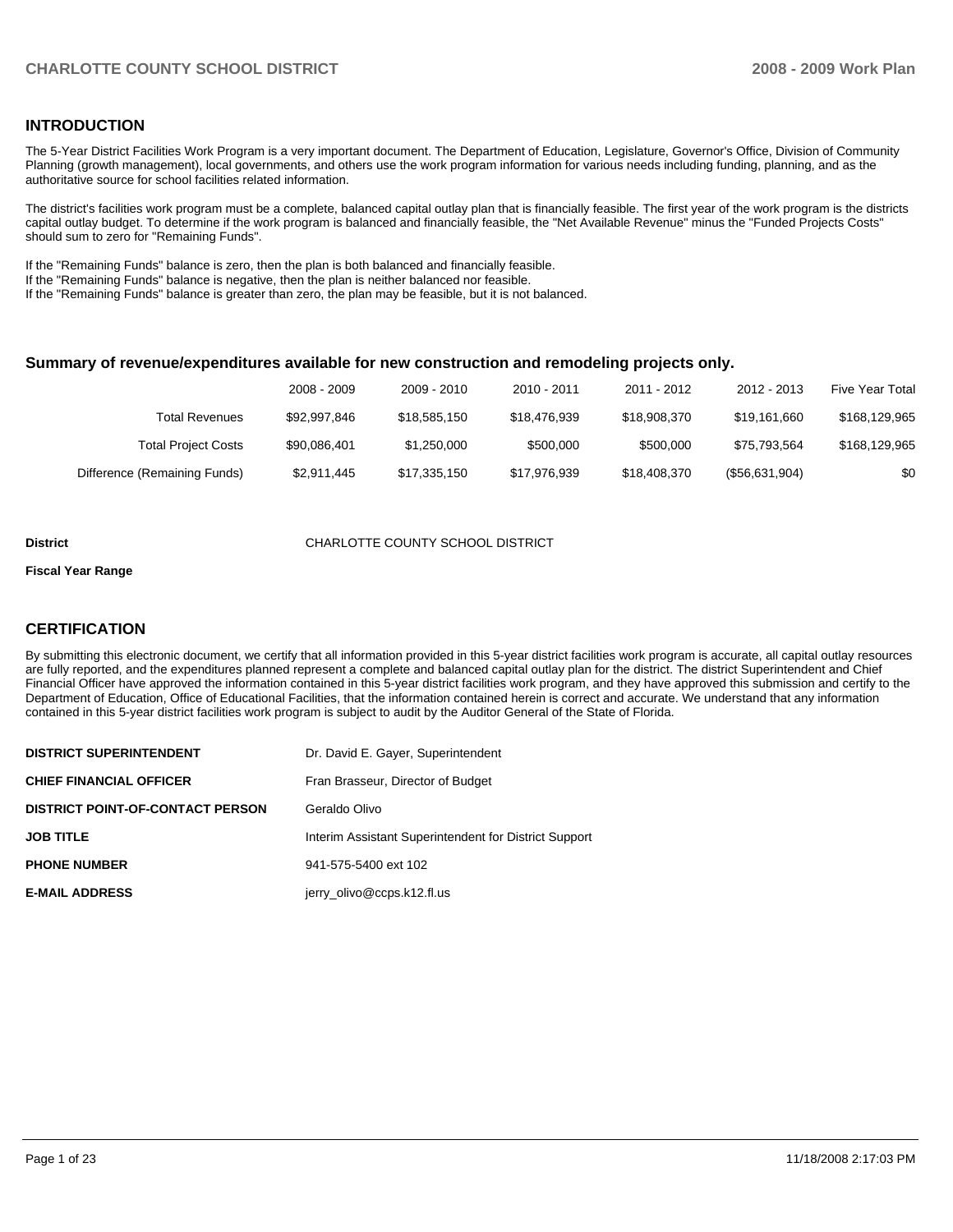### **INTRODUCTION**

The 5-Year District Facilities Work Program is a very important document. The Department of Education, Legislature, Governor's Office, Division of Community Planning (growth management), local governments, and others use the work program information for various needs including funding, planning, and as the authoritative source for school facilities related information.

The district's facilities work program must be a complete, balanced capital outlay plan that is financially feasible. The first year of the work program is the districts capital outlay budget. To determine if the work program is balanced and financially feasible, the "Net Available Revenue" minus the "Funded Projects Costs" should sum to zero for "Remaining Funds".

If the "Remaining Funds" balance is zero, then the plan is both balanced and financially feasible.

If the "Remaining Funds" balance is negative, then the plan is neither balanced nor feasible.

If the "Remaining Funds" balance is greater than zero, the plan may be feasible, but it is not balanced.

#### **Summary of revenue/expenditures available for new construction and remodeling projects only.**

| <b>Five Year Total</b> | 2012 - 2013    | 2011 - 2012  | 2010 - 2011  | 2009 - 2010  | 2008 - 2009  |                              |
|------------------------|----------------|--------------|--------------|--------------|--------------|------------------------------|
| \$168,129,965          | \$19.161.660   | \$18.908.370 | \$18.476.939 | \$18,585,150 | \$92,997,846 | Total Revenues               |
| \$168,129,965          | \$75.793.564   | \$500,000    | \$500,000    | \$1,250,000  | \$90,086,401 | <b>Total Project Costs</b>   |
| \$0                    | (\$56,631,904) | \$18,408,370 | \$17,976,939 | \$17,335,150 | \$2,911,445  | Difference (Remaining Funds) |

#### **District CHARLOTTE COUNTY SCHOOL DISTRICT**

#### **Fiscal Year Range**

#### **CERTIFICATION**

By submitting this electronic document, we certify that all information provided in this 5-year district facilities work program is accurate, all capital outlay resources are fully reported, and the expenditures planned represent a complete and balanced capital outlay plan for the district. The district Superintendent and Chief Financial Officer have approved the information contained in this 5-year district facilities work program, and they have approved this submission and certify to the Department of Education, Office of Educational Facilities, that the information contained herein is correct and accurate. We understand that any information contained in this 5-year district facilities work program is subject to audit by the Auditor General of the State of Florida.

| <b>DISTRICT SUPERINTENDENT</b>          | Dr. David E. Gayer, Superintendent                    |
|-----------------------------------------|-------------------------------------------------------|
| <b>CHIEF FINANCIAL OFFICER</b>          | Fran Brasseur, Director of Budget                     |
| <b>DISTRICT POINT-OF-CONTACT PERSON</b> | Geraldo Olivo                                         |
| <b>JOB TITLE</b>                        | Interim Assistant Superintendent for District Support |
| <b>PHONE NUMBER</b>                     | 941-575-5400 ext 102                                  |
| <b>E-MAIL ADDRESS</b>                   | jerry olivo@ccps.k12.fl.us                            |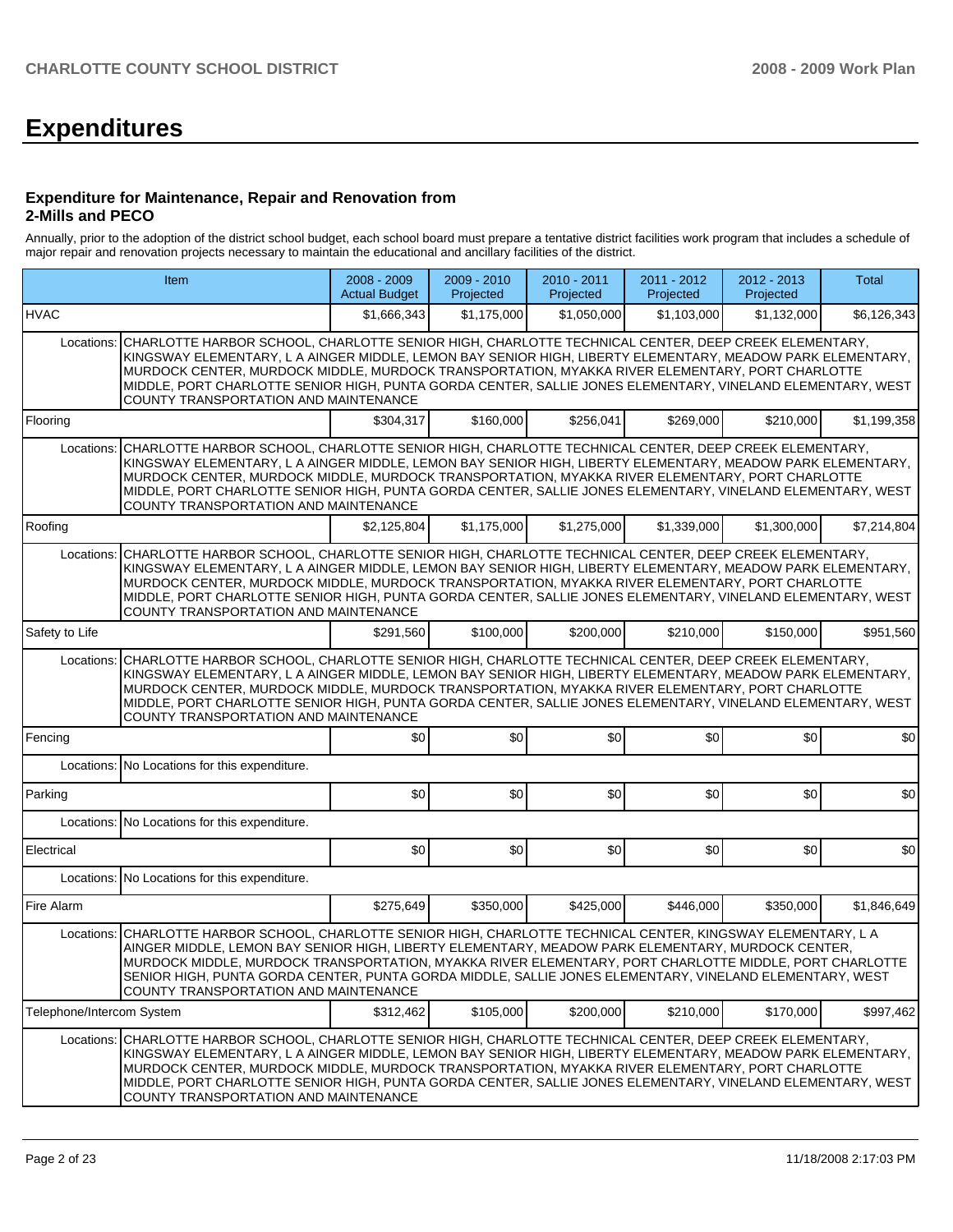# **Expenditures**

#### **Expenditure for Maintenance, Repair and Renovation from 2-Mills and PECO**

Annually, prior to the adoption of the district school budget, each school board must prepare a tentative district facilities work program that includes a schedule of major repair and renovation projects necessary to maintain the educational and ancillary facilities of the district.

|                           | Item                                                                                                                                                                                                                                                                                                                                                                                                                                                                                     |             | 2009 - 2010<br>Projected | $2010 - 2011$<br>Projected | 2011 - 2012<br>Projected | 2012 - 2013<br>Projected | Total       |  |  |  |  |
|---------------------------|------------------------------------------------------------------------------------------------------------------------------------------------------------------------------------------------------------------------------------------------------------------------------------------------------------------------------------------------------------------------------------------------------------------------------------------------------------------------------------------|-------------|--------------------------|----------------------------|--------------------------|--------------------------|-------------|--|--|--|--|
| <b>HVAC</b>               |                                                                                                                                                                                                                                                                                                                                                                                                                                                                                          | \$1,666,343 | \$1.175.000              | \$1,050,000                | \$1.103.000              | \$1,132,000              | \$6,126,343 |  |  |  |  |
| Locations:                | CHARLOTTE HARBOR SCHOOL, CHARLOTTE SENIOR HIGH, CHARLOTTE TECHNICAL CENTER, DEEP CREEK ELEMENTARY,<br>KINGSWAY ELEMENTARY, L A AINGER MIDDLE, LEMON BAY SENIOR HIGH, LIBERTY ELEMENTARY, MEADOW PARK ELEMENTARY,<br>MURDOCK CENTER, MURDOCK MIDDLE, MURDOCK TRANSPORTATION, MYAKKA RIVER ELEMENTARY, PORT CHARLOTTE<br>MIDDLE, PORT CHARLOTTE SENIOR HIGH, PUNTA GORDA CENTER, SALLIE JONES ELEMENTARY, VINELAND ELEMENTARY, WEST<br>COUNTY TRANSPORTATION AND MAINTENANCE               |             |                          |                            |                          |                          |             |  |  |  |  |
| Flooring                  |                                                                                                                                                                                                                                                                                                                                                                                                                                                                                          | \$304,317   | \$160,000                | \$256,041                  | \$269,000                | \$210,000                | \$1,199,358 |  |  |  |  |
| Locations:                | CHARLOTTE HARBOR SCHOOL, CHARLOTTE SENIOR HIGH, CHARLOTTE TECHNICAL CENTER, DEEP CREEK ELEMENTARY,<br>KINGSWAY ELEMENTARY, L A AINGER MIDDLE, LEMON BAY SENIOR HIGH, LIBERTY ELEMENTARY, MEADOW PARK ELEMENTARY,<br>MURDOCK CENTER, MURDOCK MIDDLE, MURDOCK TRANSPORTATION, MYAKKA RIVER ELEMENTARY, PORT CHARLOTTE<br>MIDDLE, PORT CHARLOTTE SENIOR HIGH, PUNTA GORDA CENTER, SALLIE JONES ELEMENTARY, VINELAND ELEMENTARY, WEST<br>COUNTY TRANSPORTATION AND MAINTENANCE               |             |                          |                            |                          |                          |             |  |  |  |  |
| Roofing                   |                                                                                                                                                                                                                                                                                                                                                                                                                                                                                          | \$2,125,804 | \$1,175,000              | \$1,275,000                | \$1,339,000              | \$1,300,000              | \$7,214,804 |  |  |  |  |
| Locations:                | CHARLOTTE HARBOR SCHOOL, CHARLOTTE SENIOR HIGH, CHARLOTTE TECHNICAL CENTER, DEEP CREEK ELEMENTARY,<br>KINGSWAY ELEMENTARY, L A AINGER MIDDLE, LEMON BAY SENIOR HIGH, LIBERTY ELEMENTARY, MEADOW PARK ELEMENTARY,<br>MURDOCK CENTER, MURDOCK MIDDLE, MURDOCK TRANSPORTATION, MYAKKA RIVER ELEMENTARY, PORT CHARLOTTE<br>MIDDLE, PORT CHARLOTTE SENIOR HIGH, PUNTA GORDA CENTER, SALLIE JONES ELEMENTARY, VINELAND ELEMENTARY, WEST<br>COUNTY TRANSPORTATION AND MAINTENANCE               |             |                          |                            |                          |                          |             |  |  |  |  |
| Safety to Life            |                                                                                                                                                                                                                                                                                                                                                                                                                                                                                          | \$291.560   | \$100,000                | \$200,000                  | \$210,000                | \$150,000                | \$951.560   |  |  |  |  |
|                           | CHARLOTTE HARBOR SCHOOL, CHARLOTTE SENIOR HIGH, CHARLOTTE TECHNICAL CENTER, DEEP CREEK ELEMENTARY,<br>Locations:<br>KINGSWAY ELEMENTARY, L A AINGER MIDDLE, LEMON BAY SENIOR HIGH, LIBERTY ELEMENTARY, MEADOW PARK ELEMENTARY,<br>MURDOCK CENTER, MURDOCK MIDDLE, MURDOCK TRANSPORTATION, MYAKKA RIVER ELEMENTARY, PORT CHARLOTTE<br>MIDDLE, PORT CHARLOTTE SENIOR HIGH, PUNTA GORDA CENTER, SALLIE JONES ELEMENTARY, VINELAND ELEMENTARY, WEST<br>COUNTY TRANSPORTATION AND MAINTENANCE |             |                          |                            |                          |                          |             |  |  |  |  |
| Fencing                   |                                                                                                                                                                                                                                                                                                                                                                                                                                                                                          | \$0         | \$0                      | \$0                        | \$0                      | \$0                      | \$0         |  |  |  |  |
|                           | Locations: No Locations for this expenditure.                                                                                                                                                                                                                                                                                                                                                                                                                                            |             |                          |                            |                          |                          |             |  |  |  |  |
| Parking                   |                                                                                                                                                                                                                                                                                                                                                                                                                                                                                          | \$0         | \$0                      | \$0                        | \$0                      | \$0                      | \$0         |  |  |  |  |
|                           | Locations: No Locations for this expenditure.                                                                                                                                                                                                                                                                                                                                                                                                                                            |             |                          |                            |                          |                          |             |  |  |  |  |
| Electrical                |                                                                                                                                                                                                                                                                                                                                                                                                                                                                                          | \$0         | \$0                      | \$0                        | \$0                      | \$0                      | \$0         |  |  |  |  |
|                           | Locations: No Locations for this expenditure.                                                                                                                                                                                                                                                                                                                                                                                                                                            |             |                          |                            |                          |                          |             |  |  |  |  |
| Fire Alarm                |                                                                                                                                                                                                                                                                                                                                                                                                                                                                                          | \$275,649   | \$350,000                | \$425,000                  | \$446,000                | \$350,000                | \$1,846,649 |  |  |  |  |
| Locations:                | CHARLOTTE HARBOR SCHOOL, CHARLOTTE SENIOR HIGH, CHARLOTTE TECHNICAL CENTER, KINGSWAY ELEMENTARY, L A<br>AINGER MIDDLE, LEMON BAY SENIOR HIGH, LIBERTY ELEMENTARY, MEADOW PARK ELEMENTARY, MURDOCK CENTER,<br>MURDOCK MIDDLE, MURDOCK TRANSPORTATION, MYAKKA RIVER ELEMENTARY, PORT CHARLOTTE MIDDLE, PORT CHARLOTTE<br>SENIOR HIGH, PUNTA GORDA CENTER, PUNTA GORDA MIDDLE, SALLIE JONES ELEMENTARY, VINELAND ELEMENTARY, WEST<br>COUNTY TRANSPORTATION AND MAINTENANCE                  |             |                          |                            |                          |                          |             |  |  |  |  |
| Telephone/Intercom System |                                                                                                                                                                                                                                                                                                                                                                                                                                                                                          | \$312,462   | \$105,000                | \$200,000                  | \$210,000                | \$170,000                | \$997,462   |  |  |  |  |
| Locations:                | CHARLOTTE HARBOR SCHOOL, CHARLOTTE SENIOR HIGH, CHARLOTTE TECHNICAL CENTER, DEEP CREEK ELEMENTARY,<br>KINGSWAY ELEMENTARY, L A AINGER MIDDLE, LEMON BAY SENIOR HIGH, LIBERTY ELEMENTARY, MEADOW PARK ELEMENTARY,<br>MURDOCK CENTER, MURDOCK MIDDLE, MURDOCK TRANSPORTATION, MYAKKA RIVER ELEMENTARY, PORT CHARLOTTE<br>MIDDLE, PORT CHARLOTTE SENIOR HIGH, PUNTA GORDA CENTER, SALLIE JONES ELEMENTARY, VINELAND ELEMENTARY, WEST<br>COUNTY TRANSPORTATION AND MAINTENANCE               |             |                          |                            |                          |                          |             |  |  |  |  |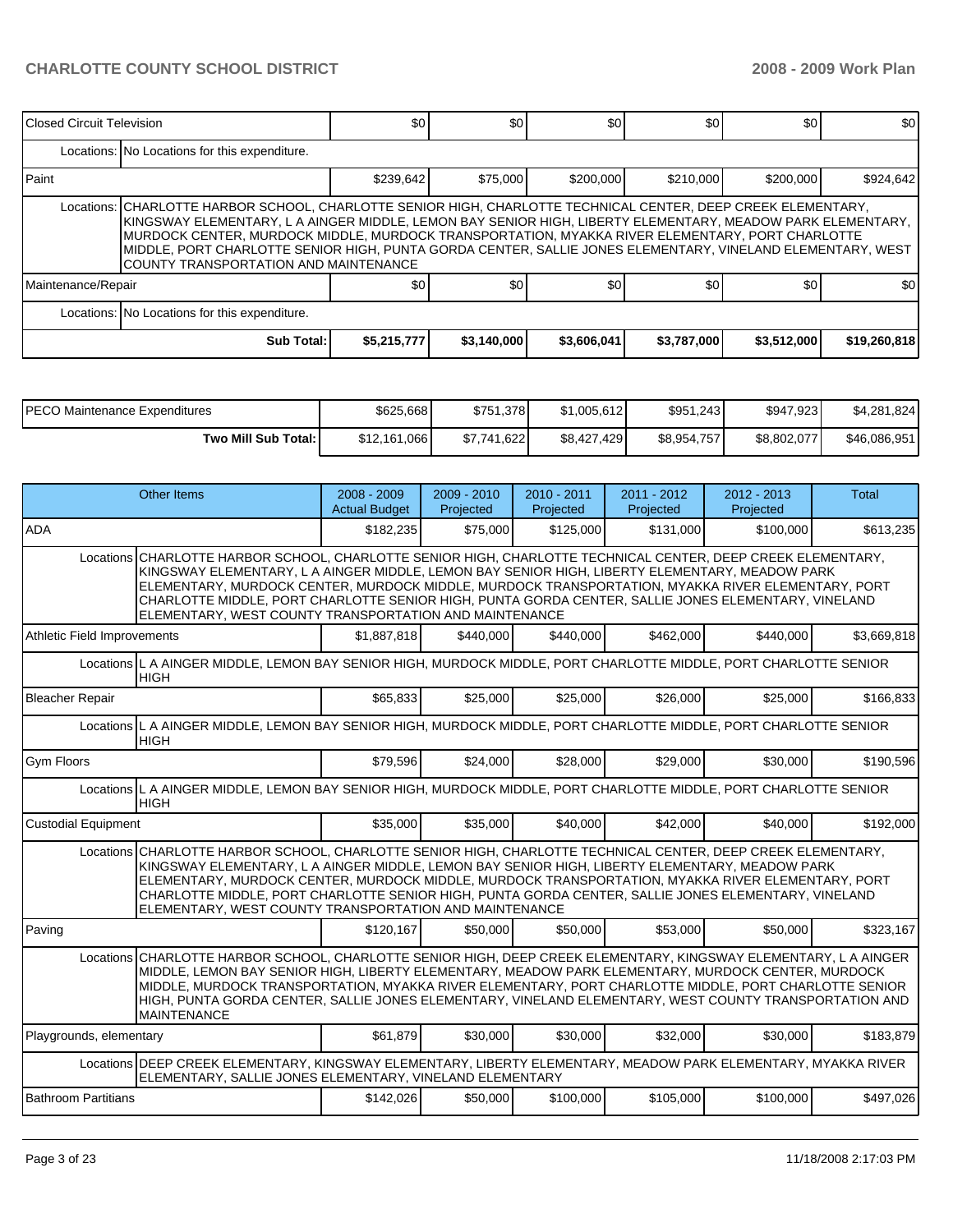| <b>IClosed Circuit Television</b>             |                                                                                                                                                                                                                                                                                                                                                                                                                                                                                                | \$0         | \$0         | \$0         | \$0         | \$0         | \$0          |  |  |  |
|-----------------------------------------------|------------------------------------------------------------------------------------------------------------------------------------------------------------------------------------------------------------------------------------------------------------------------------------------------------------------------------------------------------------------------------------------------------------------------------------------------------------------------------------------------|-------------|-------------|-------------|-------------|-------------|--------------|--|--|--|
|                                               | Locations: No Locations for this expenditure.                                                                                                                                                                                                                                                                                                                                                                                                                                                  |             |             |             |             |             |              |  |  |  |
| <b>Paint</b>                                  |                                                                                                                                                                                                                                                                                                                                                                                                                                                                                                | \$239,642   | \$75,000    | \$200,000   | \$210,000   | \$200,000   | \$924,642    |  |  |  |
|                                               | Locations: CHARLOTTE HARBOR SCHOOL, CHARLOTTE SENIOR HIGH, CHARLOTTE TECHNICAL CENTER, DEEP CREEK ELEMENTARY,<br> KINGSWAY ELEMENTARY, L A AINGER MIDDLE, LEMON BAY SENIOR HIGH, LIBERTY ELEMENTARY, MEADOW PARK ELEMENTARY,<br>MURDOCK CENTER, MURDOCK MIDDLE, MURDOCK TRANSPORTATION, MYAKKA RIVER ELEMENTARY, PORT CHARLOTTE<br>MIDDLE, PORT CHARLOTTE SENIOR HIGH, PUNTA GORDA CENTER, SALLIE JONES ELEMENTARY, VINELAND ELEMENTARY, WEST<br><b>ICOUNTY TRANSPORTATION AND MAINTENANCE</b> |             |             |             |             |             |              |  |  |  |
| Maintenance/Repair                            |                                                                                                                                                                                                                                                                                                                                                                                                                                                                                                | \$0         | \$0         | \$0         | \$0         | \$0         | \$0          |  |  |  |
| Locations: No Locations for this expenditure. |                                                                                                                                                                                                                                                                                                                                                                                                                                                                                                |             |             |             |             |             |              |  |  |  |
|                                               | <b>Sub Total:</b>                                                                                                                                                                                                                                                                                                                                                                                                                                                                              | \$5,215,777 | \$3,140,000 | \$3,606,041 | \$3,787,000 | \$3,512,000 | \$19,260,818 |  |  |  |

| IPECO Maintenance Expenditures | \$625,668    | \$751.378   | \$1,005,612 | \$951,243   | \$947,923   | \$4,281,824  |
|--------------------------------|--------------|-------------|-------------|-------------|-------------|--------------|
| Two Mill Sub Total: I          | \$12,161,066 | \$7,741,622 | \$8.427.429 | \$8,954,757 | \$8,802,077 | \$46,086,951 |

|                             | <b>Other Items</b>                                                                                                                                                                                                                                                                                                                                                                                                                                                                   | $2008 - 2009$<br><b>Actual Budget</b> | 2009 - 2010<br>Projected | $2010 - 2011$<br>Projected | $2011 - 2012$<br>Projected | $2012 - 2013$<br>Projected | <b>Total</b> |  |  |  |
|-----------------------------|--------------------------------------------------------------------------------------------------------------------------------------------------------------------------------------------------------------------------------------------------------------------------------------------------------------------------------------------------------------------------------------------------------------------------------------------------------------------------------------|---------------------------------------|--------------------------|----------------------------|----------------------------|----------------------------|--------------|--|--|--|
| <b>ADA</b>                  |                                                                                                                                                                                                                                                                                                                                                                                                                                                                                      | \$182.235                             | \$75,000                 | \$125,000                  | \$131,000                  | \$100.000                  | \$613,235    |  |  |  |
|                             | Locations CHARLOTTE HARBOR SCHOOL, CHARLOTTE SENIOR HIGH, CHARLOTTE TECHNICAL CENTER, DEEP CREEK ELEMENTARY,<br>KINGSWAY ELEMENTARY, L A AINGER MIDDLE, LEMON BAY SENIOR HIGH, LIBERTY ELEMENTARY, MEADOW PARK<br>ELEMENTARY, MURDOCK CENTER, MURDOCK MIDDLE, MURDOCK TRANSPORTATION, MYAKKA RIVER ELEMENTARY, PORT<br>CHARLOTTE MIDDLE, PORT CHARLOTTE SENIOR HIGH, PUNTA GORDA CENTER, SALLIE JONES ELEMENTARY, VINELAND<br>ELEMENTARY, WEST COUNTY TRANSPORTATION AND MAINTENANCE |                                       |                          |                            |                            |                            |              |  |  |  |
| Athletic Field Improvements |                                                                                                                                                                                                                                                                                                                                                                                                                                                                                      | \$1,887,818                           | \$440,000                | \$440,000                  | \$462,000                  | \$440.000                  | \$3,669,818  |  |  |  |
|                             | Locations L A AINGER MIDDLE, LEMON BAY SENIOR HIGH, MURDOCK MIDDLE, PORT CHARLOTTE MIDDLE, PORT CHARLOTTE SENIOR<br><b>HIGH</b>                                                                                                                                                                                                                                                                                                                                                      |                                       |                          |                            |                            |                            |              |  |  |  |
| <b>Bleacher Repair</b>      |                                                                                                                                                                                                                                                                                                                                                                                                                                                                                      | \$65,833                              | \$25,000                 | \$25,000                   | \$26,000                   | \$25,000                   | \$166,833    |  |  |  |
|                             | Locations L A AINGER MIDDLE, LEMON BAY SENIOR HIGH, MURDOCK MIDDLE, PORT CHARLOTTE MIDDLE, PORT CHARLOTTE SENIOR<br><b>HIGH</b>                                                                                                                                                                                                                                                                                                                                                      |                                       |                          |                            |                            |                            |              |  |  |  |
| <b>Gym Floors</b>           |                                                                                                                                                                                                                                                                                                                                                                                                                                                                                      | \$79,596                              | \$24,000                 | \$28,000                   | \$29,000                   | \$30,000                   | \$190,596    |  |  |  |
|                             | Locations L A AINGER MIDDLE, LEMON BAY SENIOR HIGH, MURDOCK MIDDLE, PORT CHARLOTTE MIDDLE, PORT CHARLOTTE SENIOR<br><b>HIGH</b>                                                                                                                                                                                                                                                                                                                                                      |                                       |                          |                            |                            |                            |              |  |  |  |
| <b>Custodial Equipment</b>  |                                                                                                                                                                                                                                                                                                                                                                                                                                                                                      | \$35,000                              | \$35,000                 | \$40,000                   | \$42,000                   | \$40,000                   | \$192,000    |  |  |  |
|                             | Locations CHARLOTTE HARBOR SCHOOL, CHARLOTTE SENIOR HIGH, CHARLOTTE TECHNICAL CENTER, DEEP CREEK ELEMENTARY,<br>KINGSWAY ELEMENTARY, L A AINGER MIDDLE, LEMON BAY SENIOR HIGH, LIBERTY ELEMENTARY, MEADOW PARK<br>ELEMENTARY, MURDOCK CENTER, MURDOCK MIDDLE, MURDOCK TRANSPORTATION, MYAKKA RIVER ELEMENTARY, PORT<br>CHARLOTTE MIDDLE, PORT CHARLOTTE SENIOR HIGH, PUNTA GORDA CENTER, SALLIE JONES ELEMENTARY, VINELAND<br>ELEMENTARY, WEST COUNTY TRANSPORTATION AND MAINTENANCE |                                       |                          |                            |                            |                            |              |  |  |  |
| Paving                      |                                                                                                                                                                                                                                                                                                                                                                                                                                                                                      | \$120,167                             | \$50,000                 | \$50,000                   | \$53,000                   | \$50,000                   | \$323,167    |  |  |  |
|                             | Locations CHARLOTTE HARBOR SCHOOL, CHARLOTTE SENIOR HIGH, DEEP CREEK ELEMENTARY, KINGSWAY ELEMENTARY, L A AINGER<br>MIDDLE, LEMON BAY SENIOR HIGH, LIBERTY ELEMENTARY, MEADOW PARK ELEMENTARY, MURDOCK CENTER, MURDOCK<br>MIDDLE, MURDOCK TRANSPORTATION, MYAKKA RIVER ELEMENTARY, PORT CHARLOTTE MIDDLE, PORT CHARLOTTE SENIOR<br>HIGH, PUNTA GORDA CENTER, SALLIE JONES ELEMENTARY, VINELAND ELEMENTARY, WEST COUNTY TRANSPORTATION AND<br><b>MAINTENANCE</b>                      |                                       |                          |                            |                            |                            |              |  |  |  |
| Playgrounds, elementary     |                                                                                                                                                                                                                                                                                                                                                                                                                                                                                      | \$61.879                              | \$30,000                 | \$30,000                   | \$32,000                   | \$30,000                   | \$183.879    |  |  |  |
|                             | Locations DEEP CREEK ELEMENTARY, KINGSWAY ELEMENTARY, LIBERTY ELEMENTARY, MEADOW PARK ELEMENTARY, MYAKKA RIVER<br>ELEMENTARY, SALLIE JONES ELEMENTARY, VINELAND ELEMENTARY                                                                                                                                                                                                                                                                                                           |                                       |                          |                            |                            |                            |              |  |  |  |
| Bathroom Partitians         |                                                                                                                                                                                                                                                                                                                                                                                                                                                                                      | \$142,026                             | \$50,000                 | \$100,000                  | \$105,000                  | \$100,000                  | \$497,026    |  |  |  |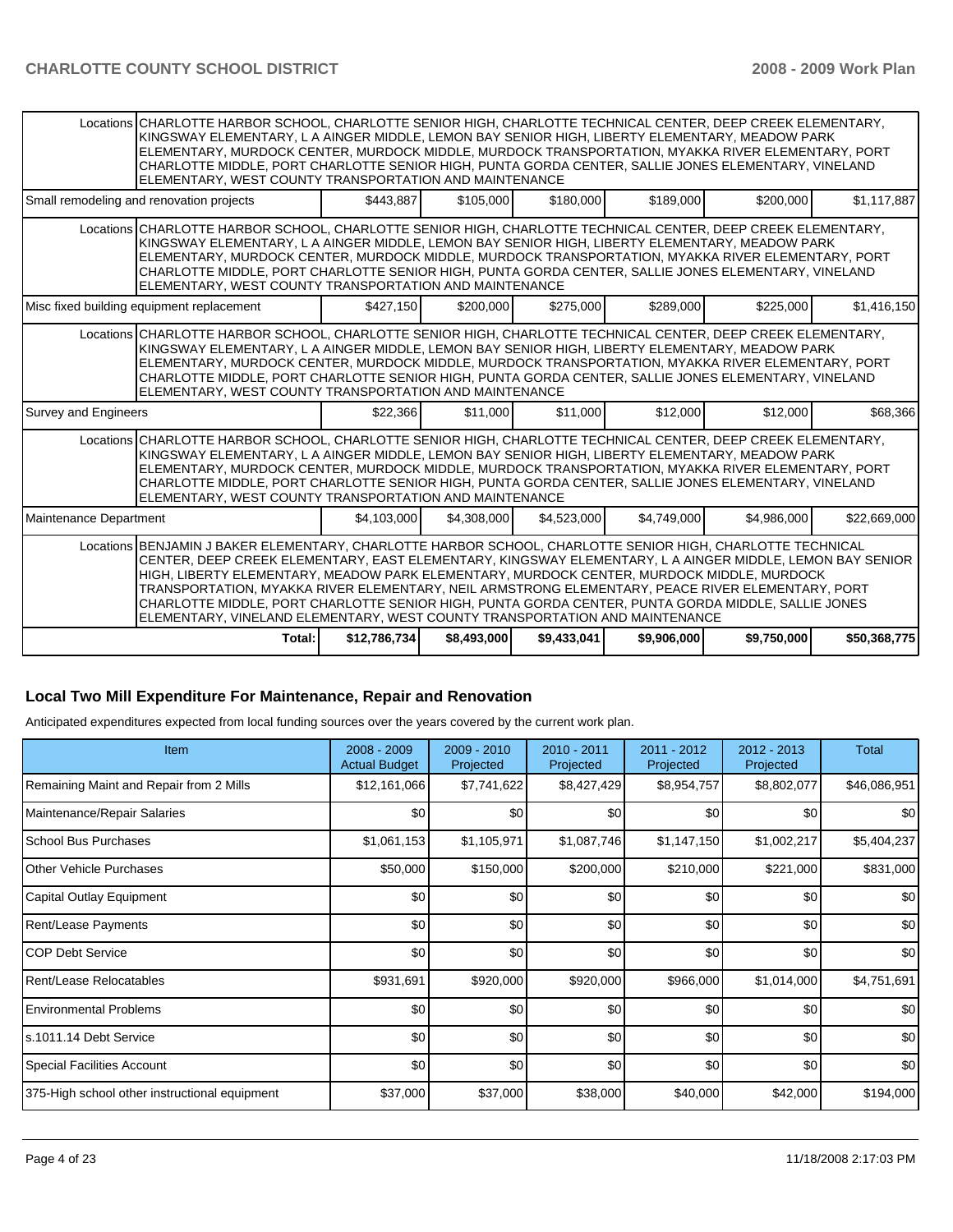|                                          | Locations CHARLOTTE HARBOR SCHOOL, CHARLOTTE SENIOR HIGH, CHARLOTTE TECHNICAL CENTER, DEEP CREEK ELEMENTARY,<br>KINGSWAY ELEMENTARY, L A AINGER MIDDLE, LEMON BAY SENIOR HIGH, LIBERTY ELEMENTARY, MEADOW PARK<br>ELEMENTARY, MURDOCK CENTER, MURDOCK MIDDLE, MURDOCK TRANSPORTATION, MYAKKA RIVER ELEMENTARY, PORT<br>CHARLOTTE MIDDLE, PORT CHARLOTTE SENIOR HIGH, PUNTA GORDA CENTER, SALLIE JONES ELEMENTARY, VINELAND<br>ELEMENTARY, WEST COUNTY TRANSPORTATION AND MAINTENANCE                                                                                                                         |              |             |             |             |             |              |
|------------------------------------------|--------------------------------------------------------------------------------------------------------------------------------------------------------------------------------------------------------------------------------------------------------------------------------------------------------------------------------------------------------------------------------------------------------------------------------------------------------------------------------------------------------------------------------------------------------------------------------------------------------------|--------------|-------------|-------------|-------------|-------------|--------------|
| Small remodeling and renovation projects |                                                                                                                                                                                                                                                                                                                                                                                                                                                                                                                                                                                                              | \$443.887    | \$105,000   | \$180,000   | \$189,000   | \$200,000   | \$1,117,887  |
|                                          | Locations CHARLOTTE HARBOR SCHOOL, CHARLOTTE SENIOR HIGH, CHARLOTTE TECHNICAL CENTER, DEEP CREEK ELEMENTARY,<br>KINGSWAY ELEMENTARY, L A AINGER MIDDLE, LEMON BAY SENIOR HIGH, LIBERTY ELEMENTARY, MEADOW PARK<br>ELEMENTARY, MURDOCK CENTER, MURDOCK MIDDLE, MURDOCK TRANSPORTATION, MYAKKA RIVER ELEMENTARY, PORT<br>CHARLOTTE MIDDLE, PORT CHARLOTTE SENIOR HIGH, PUNTA GORDA CENTER, SALLIE JONES ELEMENTARY, VINELAND<br>ELEMENTARY, WEST COUNTY TRANSPORTATION AND MAINTENANCE                                                                                                                         |              |             |             |             |             |              |
|                                          | Misc fixed building equipment replacement                                                                                                                                                                                                                                                                                                                                                                                                                                                                                                                                                                    | \$427,150    | \$200,000   | \$275,000   | \$289,000   | \$225,000   | \$1,416,150  |
|                                          | Locations CHARLOTTE HARBOR SCHOOL, CHARLOTTE SENIOR HIGH, CHARLOTTE TECHNICAL CENTER, DEEP CREEK ELEMENTARY,<br>KINGSWAY ELEMENTARY, L A AINGER MIDDLE, LEMON BAY SENIOR HIGH, LIBERTY ELEMENTARY, MEADOW PARK<br>ELEMENTARY, MURDOCK CENTER, MURDOCK MIDDLE, MURDOCK TRANSPORTATION, MYAKKA RIVER ELEMENTARY, PORT<br>CHARLOTTE MIDDLE, PORT CHARLOTTE SENIOR HIGH, PUNTA GORDA CENTER, SALLIE JONES ELEMENTARY, VINELAND<br>ELEMENTARY, WEST COUNTY TRANSPORTATION AND MAINTENANCE                                                                                                                         |              |             |             |             |             |              |
| Survey and Engineers                     |                                                                                                                                                                                                                                                                                                                                                                                                                                                                                                                                                                                                              | \$22,366     | \$11,000    | \$11,000    | \$12,000    | \$12,000    | \$68,366     |
|                                          | Locations CHARLOTTE HARBOR SCHOOL, CHARLOTTE SENIOR HIGH, CHARLOTTE TECHNICAL CENTER, DEEP CREEK ELEMENTARY,<br>KINGSWAY ELEMENTARY, L A AINGER MIDDLE, LEMON BAY SENIOR HIGH, LIBERTY ELEMENTARY, MEADOW PARK<br>ELEMENTARY, MURDOCK CENTER, MURDOCK MIDDLE, MURDOCK TRANSPORTATION, MYAKKA RIVER ELEMENTARY, PORT<br>CHARLOTTE MIDDLE, PORT CHARLOTTE SENIOR HIGH, PUNTA GORDA CENTER, SALLIE JONES ELEMENTARY, VINELAND<br>ELEMENTARY, WEST COUNTY TRANSPORTATION AND MAINTENANCE                                                                                                                         |              |             |             |             |             |              |
| Maintenance Department                   |                                                                                                                                                                                                                                                                                                                                                                                                                                                                                                                                                                                                              | \$4.103.000  | \$4.308.000 | \$4,523,000 | \$4.749.000 | \$4.986.000 | \$22,669,000 |
|                                          | Locations BENJAMIN J BAKER ELEMENTARY. CHARLOTTE HARBOR SCHOOL. CHARLOTTE SENIOR HIGH. CHARLOTTE TECHNICAL<br>CENTER, DEEP CREEK ELEMENTARY, EAST ELEMENTARY, KINGSWAY ELEMENTARY, L A AINGER MIDDLE, LEMON BAY SENIOR<br>HIGH, LIBERTY ELEMENTARY, MEADOW PARK ELEMENTARY, MURDOCK CENTER, MURDOCK MIDDLE, MURDOCK<br>TRANSPORTATION, MYAKKA RIVER ELEMENTARY, NEIL ARMSTRONG ELEMENTARY, PEACE RIVER ELEMENTARY, PORT<br>CHARLOTTE MIDDLE, PORT CHARLOTTE SENIOR HIGH, PUNTA GORDA CENTER, PUNTA GORDA MIDDLE, SALLIE JONES<br>ELEMENTARY, VINELAND ELEMENTARY, WEST COUNTY TRANSPORTATION AND MAINTENANCE |              |             |             |             |             |              |
|                                          | Total:                                                                                                                                                                                                                                                                                                                                                                                                                                                                                                                                                                                                       | \$12,786,734 | \$8,493,000 | \$9,433,041 | \$9,906,000 | \$9,750,000 | \$50,368,775 |

# **Local Two Mill Expenditure For Maintenance, Repair and Renovation**

Anticipated expenditures expected from local funding sources over the years covered by the current work plan.

| Item                                          | 2008 - 2009<br><b>Actual Budget</b> | $2009 - 2010$<br>Projected | 2010 - 2011<br>Projected | 2011 - 2012<br>Projected | $2012 - 2013$<br>Projected | <b>Total</b> |
|-----------------------------------------------|-------------------------------------|----------------------------|--------------------------|--------------------------|----------------------------|--------------|
| Remaining Maint and Repair from 2 Mills       | \$12,161,066                        | \$7,741,622                | \$8,427,429              | \$8,954,757              | \$8,802,077                | \$46,086,951 |
| Maintenance/Repair Salaries                   | \$0                                 | \$0                        | \$0                      | \$0                      | \$0                        | \$0          |
| <b>School Bus Purchases</b>                   | \$1,061,153                         | \$1,105,971                | \$1,087,746              | \$1,147,150              | \$1,002,217                | \$5,404,237  |
| Other Vehicle Purchases                       | \$50,000                            | \$150,000                  | \$200,000                | \$210,000                | \$221,000                  | \$831,000    |
| Capital Outlay Equipment                      | \$0                                 | \$0                        | \$0                      | \$0                      | \$0                        | \$0          |
| Rent/Lease Payments                           | \$0                                 | \$0                        | \$0                      | \$0                      | \$0                        | \$0          |
| ICOP Debt Service                             | \$0 <sub>1</sub>                    | \$0                        | \$0                      | \$0                      | \$0                        | \$0          |
| <b>Rent/Lease Relocatables</b>                | \$931,691                           | \$920,000                  | \$920,000                | \$966,000                | \$1,014,000                | \$4,751,691  |
| <b>Environmental Problems</b>                 | \$0                                 | \$0                        | \$0                      | \$0                      | \$0                        | \$0          |
| s.1011.14 Debt Service                        | \$0                                 | \$0                        | \$0                      | \$0                      | \$0                        | \$0          |
| <b>Special Facilities Account</b>             | \$0                                 | \$0                        | \$0                      | \$0                      | \$0                        | \$0          |
| 375-High school other instructional equipment | \$37,000                            | \$37,000                   | \$38,000                 | \$40,000                 | \$42,000                   | \$194,000    |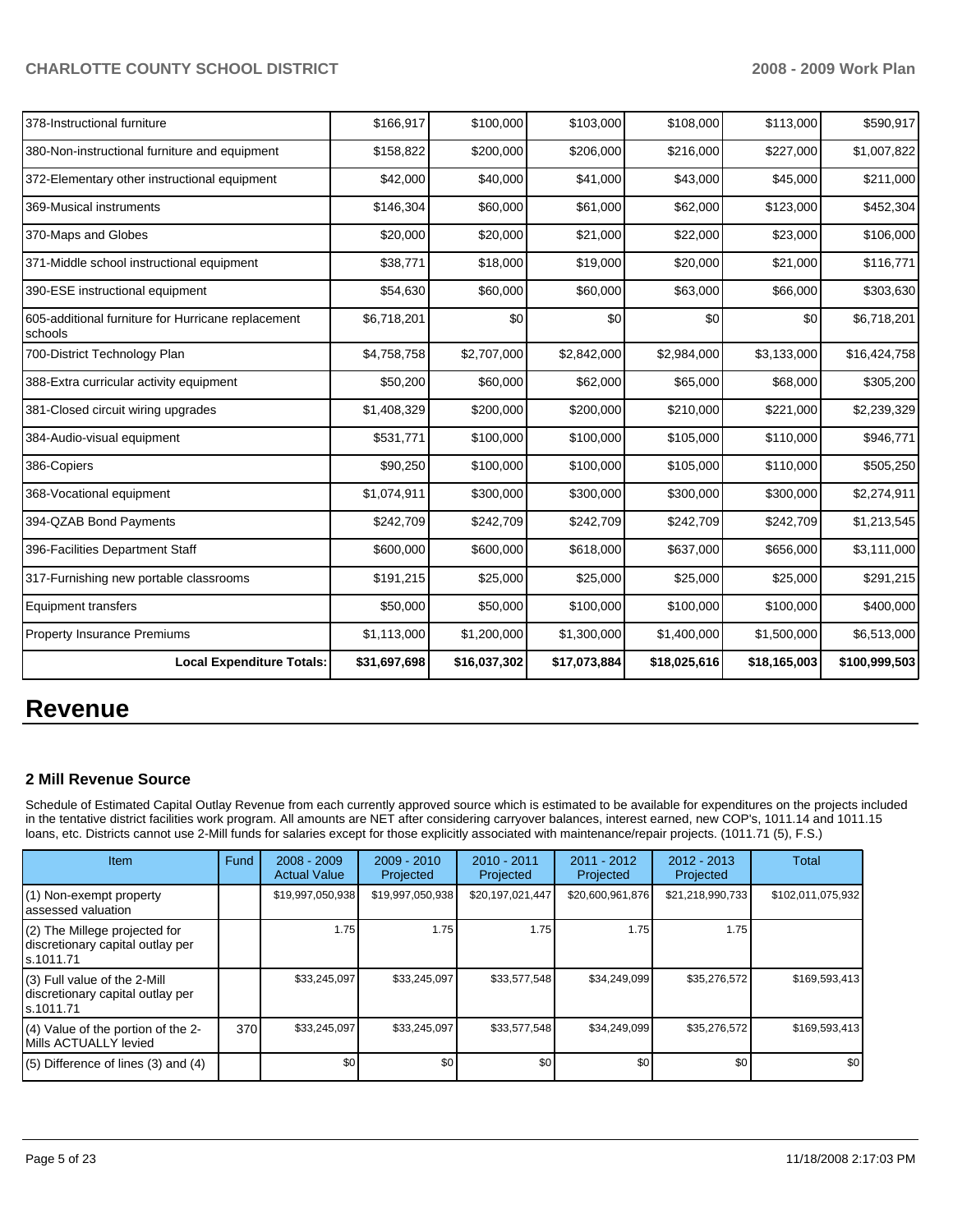| 378-Instructional furniture                                   | \$166,917    | \$100,000    | \$103,000    | \$108,000    | \$113,000    | \$590,917     |
|---------------------------------------------------------------|--------------|--------------|--------------|--------------|--------------|---------------|
| 380-Non-instructional furniture and equipment                 | \$158,822    | \$200,000    | \$206,000    | \$216,000    | \$227,000    | \$1,007,822   |
| 372-Elementary other instructional equipment                  | \$42,000     | \$40,000     | \$41,000     | \$43,000     | \$45,000     | \$211,000     |
| 369-Musical instruments                                       | \$146,304    | \$60,000     | \$61,000     | \$62,000     | \$123,000    | \$452,304     |
| 370-Maps and Globes                                           | \$20,000     | \$20,000     | \$21,000     | \$22,000     | \$23,000     | \$106,000     |
| 371-Middle school instructional equipment                     | \$38,771     | \$18,000     | \$19,000     | \$20,000     | \$21,000     | \$116,771     |
| 390-ESE instructional equipment                               | \$54,630     | \$60,000     | \$60,000     | \$63,000     | \$66,000     | \$303,630     |
| 605-additional furniture for Hurricane replacement<br>schools | \$6,718,201  | \$0          | \$0          | \$0          | \$0          | \$6,718,201   |
| 700-District Technology Plan                                  | \$4,758,758  | \$2,707,000  | \$2,842,000  | \$2,984,000  | \$3,133,000  | \$16,424,758  |
| 388-Extra curricular activity equipment                       | \$50,200     | \$60,000     | \$62,000     | \$65,000     | \$68,000     | \$305,200     |
| 381-Closed circuit wiring upgrades                            | \$1,408,329  | \$200,000    | \$200,000    | \$210,000    | \$221,000    | \$2,239,329   |
| 384-Audio-visual equipment                                    | \$531,771    | \$100,000    | \$100,000    | \$105,000    | \$110,000    | \$946,771     |
| 386-Copiers                                                   | \$90,250     | \$100,000    | \$100,000    | \$105,000    | \$110,000    | \$505,250     |
| 368-Vocational equipment                                      | \$1,074,911  | \$300,000    | \$300,000    | \$300,000    | \$300,000    | \$2,274,911   |
| 394-QZAB Bond Payments                                        | \$242,709    | \$242,709    | \$242,709    | \$242,709    | \$242,709    | \$1,213,545   |
| 396-Facilities Department Staff                               | \$600,000    | \$600,000    | \$618,000    | \$637,000    | \$656,000    | \$3,111,000   |
| 317-Furnishing new portable classrooms                        | \$191,215    | \$25,000     | \$25,000     | \$25,000     | \$25,000     | \$291,215     |
| Equipment transfers                                           | \$50,000     | \$50,000     | \$100,000    | \$100,000    | \$100,000    | \$400,000     |
| <b>Property Insurance Premiums</b>                            | \$1,113,000  | \$1,200,000  | \$1,300,000  | \$1,400,000  | \$1,500,000  | \$6,513,000   |
| <b>Local Expenditure Totals:</b>                              | \$31,697,698 | \$16,037,302 | \$17,073,884 | \$18,025,616 | \$18,165,003 | \$100,999,503 |

# **Revenue**

# **2 Mill Revenue Source**

Schedule of Estimated Capital Outlay Revenue from each currently approved source which is estimated to be available for expenditures on the projects included in the tentative district facilities work program. All amounts are NET after considering carryover balances, interest earned, new COP's, 1011.14 and 1011.15 loans, etc. Districts cannot use 2-Mill funds for salaries except for those explicitly associated with maintenance/repair projects. (1011.71 (5), F.S.)

| Item                                                                              | Fund | $2008 - 2009$<br><b>Actual Value</b> | $2009 - 2010$<br>Projected | $2010 - 2011$<br>Projected | 2011 - 2012<br>Projected | $2012 - 2013$<br>Projected | <b>Total</b>      |
|-----------------------------------------------------------------------------------|------|--------------------------------------|----------------------------|----------------------------|--------------------------|----------------------------|-------------------|
| (1) Non-exempt property<br>lassessed valuation                                    |      | \$19,997,050,938                     | \$19,997,050,938           | \$20,197,021,447           | \$20,600,961,876         | \$21,218,990,733           | \$102,011,075,932 |
| $(2)$ The Millege projected for<br>discretionary capital outlay per<br>ls.1011.71 |      | 1.75                                 | 1.75                       | 1.75                       | 1.75                     | 1.75                       |                   |
| $(3)$ Full value of the 2-Mill<br>discretionary capital outlay per<br>ls.1011.71  |      | \$33,245,097                         | \$33,245,097               | \$33,577,548               | \$34,249,099             | \$35,276,572               | \$169,593,413     |
| $(4)$ Value of the portion of the 2-<br><b>IMills ACTUALLY levied</b>             | 370  | \$33,245,097                         | \$33,245,097               | \$33,577,548               | \$34,249,099             | \$35,276,572               | \$169,593,413     |
| $(5)$ Difference of lines (3) and (4)                                             |      | \$0                                  | \$0                        | \$0                        | \$0                      | \$0 <sub>0</sub>           | \$0               |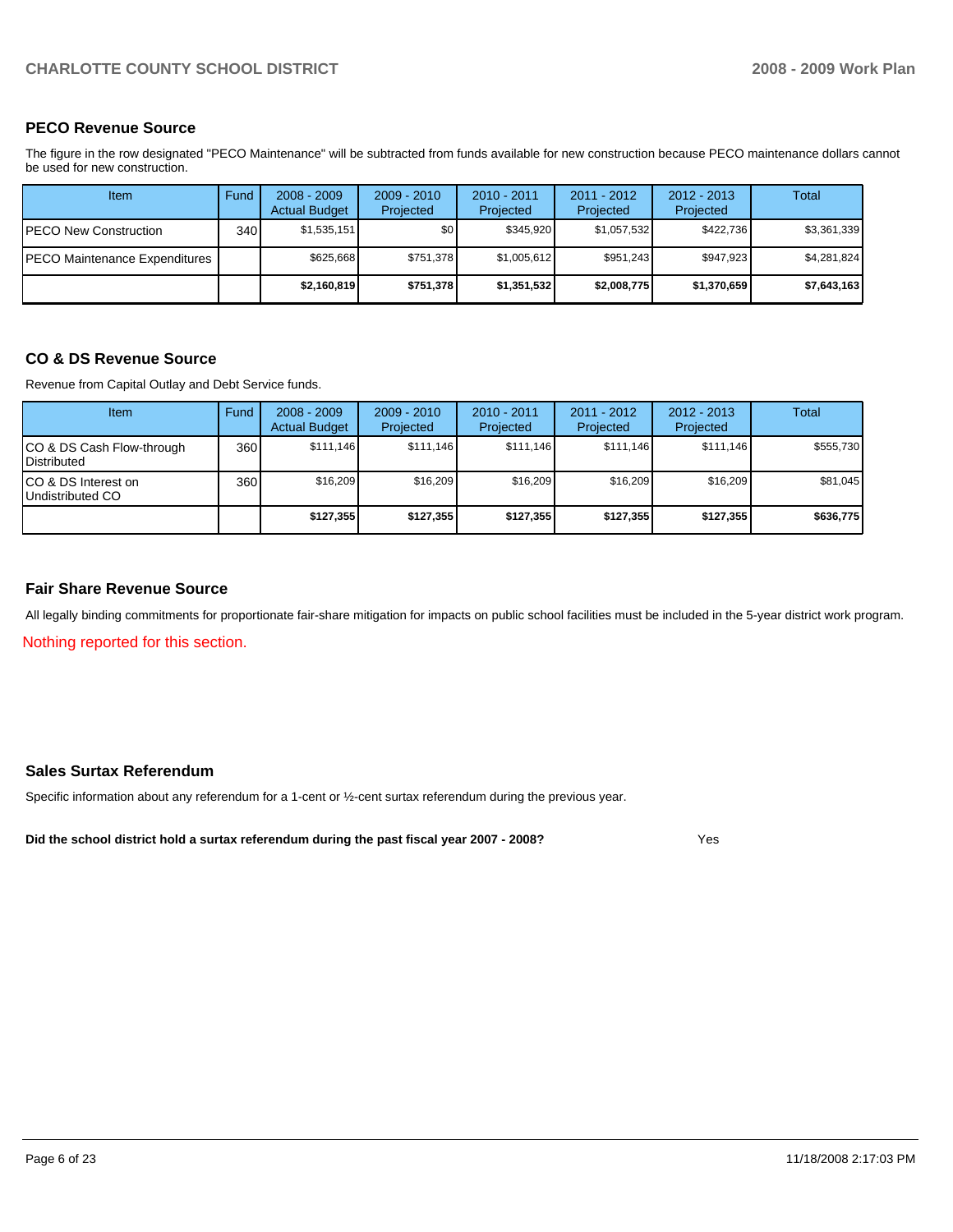# **PECO Revenue Source**

The figure in the row designated "PECO Maintenance" will be subtracted from funds available for new construction because PECO maintenance dollars cannot be used for new construction.

| Item                          | Fund             | $2008 - 2009$<br><b>Actual Budget</b> | $2009 - 2010$<br>Projected | $2010 - 2011$<br>Projected | $2011 - 2012$<br>Projected | $2012 - 2013$<br>Projected | Total       |
|-------------------------------|------------------|---------------------------------------|----------------------------|----------------------------|----------------------------|----------------------------|-------------|
| IPECO New Construction        | 340 <sup>1</sup> | \$1,535,151                           | \$0                        | \$345.920                  | \$1,057,532                | \$422.736                  | \$3,361,339 |
| PECO Maintenance Expenditures |                  | \$625.668                             | \$751.378                  | \$1,005,612                | \$951.243                  | \$947.923                  | \$4.281.824 |
|                               |                  | \$2,160,819                           | \$751,378                  | \$1,351,532                | \$2,008,775                | \$1,370,659                | \$7,643,163 |

### **CO & DS Revenue Source**

Revenue from Capital Outlay and Debt Service funds.

| <b>Item</b>                                     | Fund | $2008 - 2009$<br><b>Actual Budget</b> | $2009 - 2010$<br>Projected | $2010 - 2011$<br>Projected | $2011 - 2012$<br>Projected | $2012 - 2013$<br>Projected | Total     |
|-------------------------------------------------|------|---------------------------------------|----------------------------|----------------------------|----------------------------|----------------------------|-----------|
| CO & DS Cash Flow-through<br><b>Distributed</b> | 360  | \$111.146                             | \$111.146                  | \$111.146                  | \$111.146                  | \$111.146                  | \$555,730 |
| CO & DS Interest on<br>Undistributed CO         | 360  | \$16,209                              | \$16,209                   | \$16,209                   | \$16,209                   | \$16,209                   | \$81,045  |
|                                                 |      | \$127,355                             | \$127,355                  | \$127,355                  | \$127,355                  | \$127,355                  | \$636,775 |

## **Fair Share Revenue Source**

All legally binding commitments for proportionate fair-share mitigation for impacts on public school facilities must be included in the 5-year district work program.

Nothing reported for this section.

## **Sales Surtax Referendum**

Specific information about any referendum for a 1-cent or ½-cent surtax referendum during the previous year.

**Did the school district hold a surtax referendum during the past fiscal year 2007 - 2008?** Yes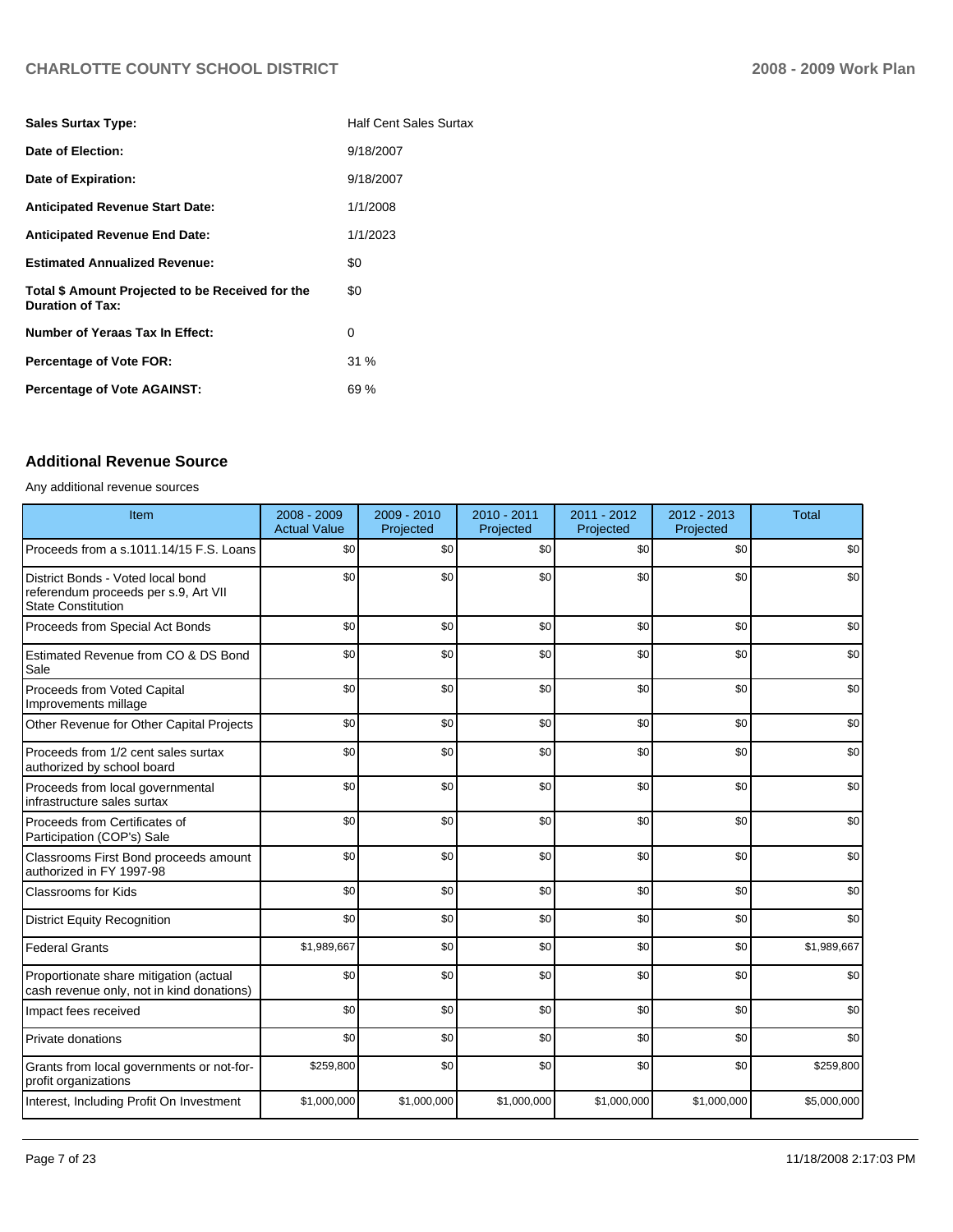| <b>Sales Surtax Type:</b>                                                   | <b>Half Cent Sales Surtax</b> |
|-----------------------------------------------------------------------------|-------------------------------|
| Date of Election:                                                           | 9/18/2007                     |
| Date of Expiration:                                                         | 9/18/2007                     |
| <b>Anticipated Revenue Start Date:</b>                                      | 1/1/2008                      |
| <b>Anticipated Revenue End Date:</b>                                        | 1/1/2023                      |
| <b>Estimated Annualized Revenue:</b>                                        | \$0                           |
| Total \$ Amount Projected to be Received for the<br><b>Duration of Tax:</b> | \$0                           |
| Number of Yeraas Tax In Effect:                                             | 0                             |
| <b>Percentage of Vote FOR:</b>                                              | $31\%$                        |
| <b>Percentage of Vote AGAINST:</b>                                          | 69 %                          |

### **Additional Revenue Source**

Any additional revenue sources

| Item                                                                                            | 2008 - 2009<br><b>Actual Value</b> | $2009 - 2010$<br>Projected | 2010 - 2011<br>Projected | 2011 - 2012<br>Projected | $2012 - 2013$<br>Projected | <b>Total</b> |
|-------------------------------------------------------------------------------------------------|------------------------------------|----------------------------|--------------------------|--------------------------|----------------------------|--------------|
| Proceeds from a s.1011.14/15 F.S. Loans                                                         | \$0                                | \$0                        | \$0                      | \$0                      | \$0                        | \$0          |
| District Bonds - Voted local bond<br>referendum proceeds per s.9, Art VII<br>State Constitution | \$0                                | \$0                        | \$0                      | \$0                      | \$0                        | \$0          |
| Proceeds from Special Act Bonds                                                                 | \$0                                | \$0                        | \$0                      | \$0                      | \$0                        | \$0          |
| Estimated Revenue from CO & DS Bond<br>Sale                                                     | \$0                                | \$0                        | \$0                      | \$0                      | \$0                        | \$0          |
| <b>Proceeds from Voted Capital</b><br>Improvements millage                                      | \$0                                | \$0                        | \$0                      | \$0                      | \$0                        | \$0          |
| Other Revenue for Other Capital Projects                                                        | \$0                                | \$0                        | \$0                      | \$0                      | \$0                        | \$0          |
| Proceeds from 1/2 cent sales surtax<br>authorized by school board                               | \$0                                | \$0                        | \$0                      | \$0                      | \$0                        | \$0          |
| Proceeds from local governmental<br>infrastructure sales surtax                                 | \$0                                | \$0                        | \$0                      | \$0                      | \$0                        | \$0          |
| Proceeds from Certificates of<br>Participation (COP's) Sale                                     | \$0                                | \$0                        | \$0                      | \$0                      | \$0                        | \$0          |
| Classrooms First Bond proceeds amount<br>authorized in FY 1997-98                               | \$0                                | \$0                        | \$0                      | \$0                      | \$0                        | \$0          |
| Classrooms for Kids                                                                             | \$0                                | \$0                        | \$0                      | \$0                      | \$0                        | \$0          |
| <b>District Equity Recognition</b>                                                              | \$0                                | \$0                        | \$0                      | \$0                      | \$0                        | \$0          |
| <b>Federal Grants</b>                                                                           | \$1,989,667                        | \$0                        | \$0                      | \$0                      | \$0                        | \$1,989,667  |
| Proportionate share mitigation (actual<br>cash revenue only, not in kind donations)             | \$0                                | \$0                        | \$0                      | \$0                      | \$0                        | \$0          |
| Impact fees received                                                                            | \$0                                | \$0                        | \$0                      | \$0                      | \$0                        | \$0          |
| <b>Private donations</b>                                                                        | \$0                                | \$0                        | \$0                      | \$0                      | \$0                        | \$0          |
| Grants from local governments or not-for-<br>profit organizations                               | \$259,800                          | \$0                        | \$0                      | \$0                      | \$0                        | \$259,800    |
| Interest, Including Profit On Investment                                                        | \$1,000,000                        | \$1,000,000                | \$1,000,000              | \$1,000,000              | \$1,000,000                | \$5,000,000  |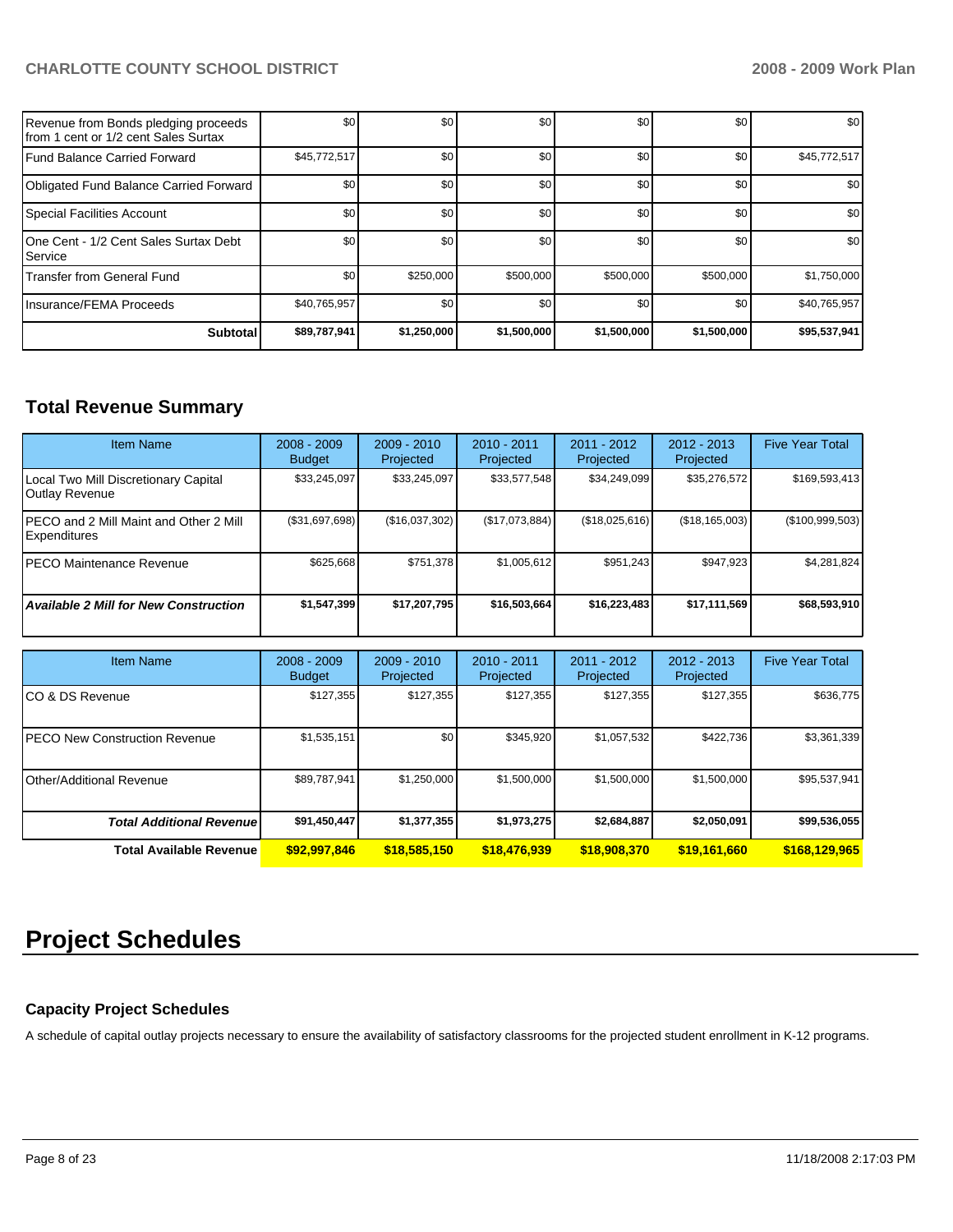| Revenue from Bonds pledging proceeds<br>Ifrom 1 cent or 1/2 cent Sales Surtax | \$0              | \$0         | \$0         | \$0         | \$0         | \$0          |
|-------------------------------------------------------------------------------|------------------|-------------|-------------|-------------|-------------|--------------|
| Fund Balance Carried Forward                                                  | \$45,772,517     | \$0         | \$0         | \$0         | \$0         | \$45,772,517 |
| Obligated Fund Balance Carried Forward                                        | \$0 <sub>1</sub> | \$0         | \$0         | \$0         | \$0         | \$0          |
| Special Facilities Account                                                    | \$0              | \$0         | \$0         | \$0         | \$0         | \$0          |
| 1One Cent - 1/2 Cent Sales Surtax Debt<br><b>I</b> Service                    | \$0              | \$0         | \$0         | \$0         | \$0         | \$0          |
| Transfer from General Fund                                                    | \$0 <sub>1</sub> | \$250,000   | \$500,000   | \$500,000   | \$500,000   | \$1,750,000  |
| Insurance/FEMA Proceeds                                                       | \$40,765,957     | \$0         | \$0         | \$0         | \$0         | \$40,765,957 |
| <b>Subtotal</b>                                                               | \$89,787,941     | \$1,250,000 | \$1,500,000 | \$1,500,000 | \$1,500,000 | \$95,537,941 |

# **Total Revenue Summary**

| <b>Item Name</b>                                               | $2008 - 2009$<br><b>Budget</b> | $2009 - 2010$<br>Projected | $2010 - 2011$<br>Projected | 2011 - 2012<br>Projected | $2012 - 2013$<br>Projected | <b>Five Year Total</b> |
|----------------------------------------------------------------|--------------------------------|----------------------------|----------------------------|--------------------------|----------------------------|------------------------|
| Local Two Mill Discretionary Capital<br>Outlay Revenue         | \$33,245,097                   | \$33,245,097               | \$33,577,548               | \$34,249,099             | \$35,276,572               | \$169,593,413          |
| IPECO and 2 Mill Maint and Other 2 Mill<br><b>Expenditures</b> | (\$31,697,698)                 | (\$16,037,302)             | (S17,073,884)              | (\$18,025,616)           | (\$18, 165, 003)           | (\$100,999,503)        |
| <b>IPECO Maintenance Revenue</b>                               | \$625.668                      | \$751.378                  | \$1,005,612                | \$951.243                | \$947,923                  | \$4,281,824            |
| <b>Available 2 Mill for New Construction</b>                   | \$1,547,399                    | \$17,207,795               | \$16,503,664               | \$16,223,483             | \$17,111,569               | \$68,593,910           |

| <b>Item Name</b>                      | $2008 - 2009$<br><b>Budget</b> | $2009 - 2010$<br>Projected | $2010 - 2011$<br>Projected | 2011 - 2012<br>Projected | $2012 - 2013$<br>Projected | <b>Five Year Total</b> |
|---------------------------------------|--------------------------------|----------------------------|----------------------------|--------------------------|----------------------------|------------------------|
| ICO & DS Revenue                      | \$127,355                      | \$127,355                  | \$127.355                  | \$127,355                | \$127,355                  | \$636,775              |
| <b>IPECO New Construction Revenue</b> | \$1,535,151                    | \$0                        | \$345,920                  | \$1,057,532              | \$422,736                  | \$3,361,339            |
| <b>IOther/Additional Revenue</b>      | \$89,787,941                   | \$1,250,000                | \$1,500,000                | \$1,500,000              | \$1,500,000                | \$95,537,941           |
| <b>Total Additional Revenue</b>       | \$91,450,447                   | \$1,377,355                | \$1,973,275                | \$2,684,887              | \$2,050,091                | \$99,536,055           |
| <b>Total Available Revenue</b>        | \$92,997,846                   | \$18,585,150               | \$18,476,939               | \$18,908,370             | \$19,161,660               | \$168,129,965          |

# **Project Schedules**

### **Capacity Project Schedules**

A schedule of capital outlay projects necessary to ensure the availability of satisfactory classrooms for the projected student enrollment in K-12 programs.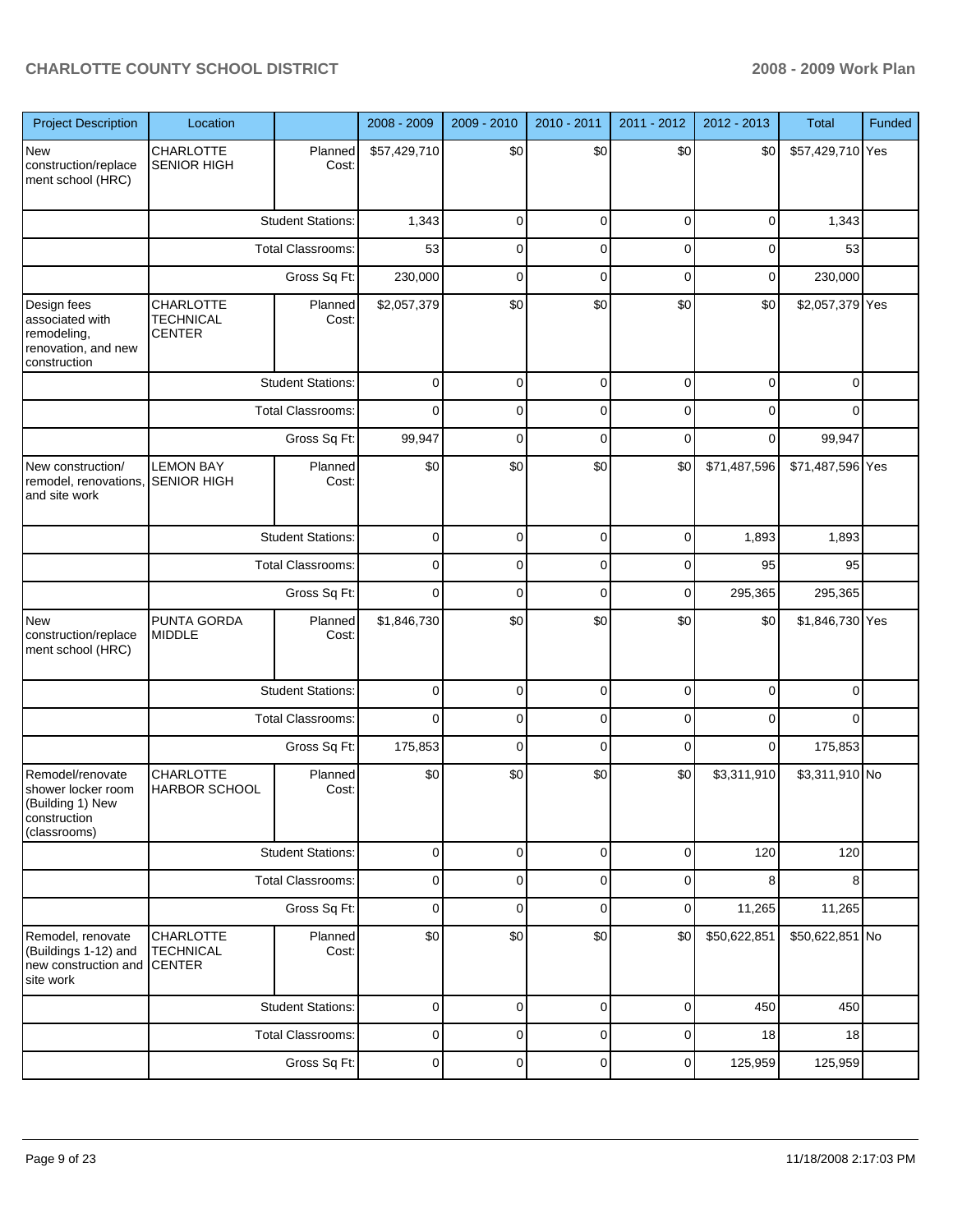| <b>Project Description</b>                                                                 | Location                                       |                          | 2008 - 2009  | $2009 - 2010$ | 2010 - 2011 | 2011 - 2012 | 2012 - 2013  | <b>Total</b>     | Funded |
|--------------------------------------------------------------------------------------------|------------------------------------------------|--------------------------|--------------|---------------|-------------|-------------|--------------|------------------|--------|
| <b>New</b><br>construction/replace<br>ment school (HRC)                                    | <b>CHARLOTTE</b><br><b>SENIOR HIGH</b>         | Planned<br>Cost:         | \$57,429,710 | \$0           | \$0         | \$0         | \$0          | \$57,429,710 Yes |        |
|                                                                                            |                                                | <b>Student Stations:</b> | 1,343        | 0             | 0           | 0           | 0            | 1,343            |        |
|                                                                                            |                                                | <b>Total Classrooms:</b> | 53           | 0             | $\mathbf 0$ | 0           | 0            | 53               |        |
|                                                                                            |                                                | Gross Sq Ft:             | 230,000      | $\mathbf 0$   | $\mathbf 0$ | $\mathbf 0$ | 0            | 230,000          |        |
| Design fees<br>associated with<br>remodeling,<br>renovation, and new<br>construction       | CHARLOTTE<br><b>TECHNICAL</b><br><b>CENTER</b> | Planned<br>Cost:         | \$2,057,379  | \$0           | \$0         | \$0         | \$0          | \$2,057,379 Yes  |        |
|                                                                                            |                                                | <b>Student Stations:</b> | 0            | $\mathbf 0$   | 0           | $\mathbf 0$ | $\mathbf 0$  | $\Omega$         |        |
|                                                                                            |                                                | <b>Total Classrooms:</b> | $\mathbf 0$  | $\mathbf 0$   | $\mathbf 0$ | 0           | $\Omega$     | $\Omega$         |        |
|                                                                                            |                                                | Gross Sq Ft:             | 99,947       | $\mathbf 0$   | $\mathbf 0$ | 0           | 0            | 99,947           |        |
| New construction/<br>remodel, renovations,<br>and site work                                | <b>LEMON BAY</b><br><b>SENIOR HIGH</b>         | Planned<br>Cost:         | \$0          | \$0           | \$0         | \$0         | \$71,487,596 | \$71,487,596 Yes |        |
|                                                                                            |                                                | <b>Student Stations:</b> | 0            | $\mathbf 0$   | $\mathbf 0$ | 0           | 1,893        | 1,893            |        |
|                                                                                            | <b>Total Classrooms:</b>                       |                          | $\mathbf 0$  | $\mathbf 0$   | $\mathbf 0$ | $\mathbf 0$ | 95           | 95               |        |
|                                                                                            |                                                | Gross Sq Ft:             | $\mathbf 0$  | $\mathbf 0$   | $\mathbf 0$ | 0           | 295,365      | 295,365          |        |
| <b>New</b><br>construction/replace<br>ment school (HRC)                                    | PUNTA GORDA<br><b>MIDDLE</b>                   | Planned<br>Cost:         | \$1,846,730  | \$0           | \$0         | \$0         | \$0          | \$1,846,730 Yes  |        |
|                                                                                            |                                                | <b>Student Stations:</b> | 0            | $\mathbf 0$   | 0           | $\mathbf 0$ | $\mathbf 0$  | 0                |        |
|                                                                                            |                                                | Total Classrooms:        | $\mathbf 0$  | $\mathbf 0$   | 0           | 0           | 0            | $\Omega$         |        |
|                                                                                            |                                                | Gross Sq Ft:             | 175,853      | $\mathbf 0$   | $\mathbf 0$ | 0           | 0            | 175,853          |        |
| Remodel/renovate<br>shower locker room<br>(Building 1) New<br>construction<br>(classrooms) | <b>CHARLOTTE</b><br><b>HARBOR SCHOOL</b>       | Planned<br>Cost:         | \$0          | \$0           | \$0         | \$0         | \$3,311,910  | \$3,311,910 No   |        |
|                                                                                            |                                                | <b>Student Stations:</b> | $\mathbf 0$  | $\pmb{0}$     | $\pmb{0}$   | $\mathbf 0$ | 120          | 120              |        |
|                                                                                            |                                                | <b>Total Classrooms:</b> | 0            | $\mathbf 0$   | 0           | 0           | 8            | 8                |        |
|                                                                                            |                                                | Gross Sq Ft:             | $\mathbf 0$  | $\mathbf 0$   | $\mathbf 0$ | 0           | 11,265       | 11,265           |        |
| Remodel, renovate<br>(Buildings 1-12) and<br>new construction and<br>site work             | CHARLOTTE<br><b>TECHNICAL</b><br><b>CENTER</b> | Planned<br>Cost:         | \$0          | \$0           | \$0         | \$0         | \$50,622,851 | \$50,622,851 No  |        |
|                                                                                            |                                                | <b>Student Stations:</b> | $\mathbf 0$  | 0             | $\mathbf 0$ | 0           | 450          | 450              |        |
|                                                                                            |                                                | <b>Total Classrooms:</b> | $\mathbf 0$  | 0             | 0           | 0           | 18           | 18               |        |
|                                                                                            |                                                | Gross Sq Ft:             | $\mathbf 0$  | 0             | 0           | 0           | 125,959      | 125,959          |        |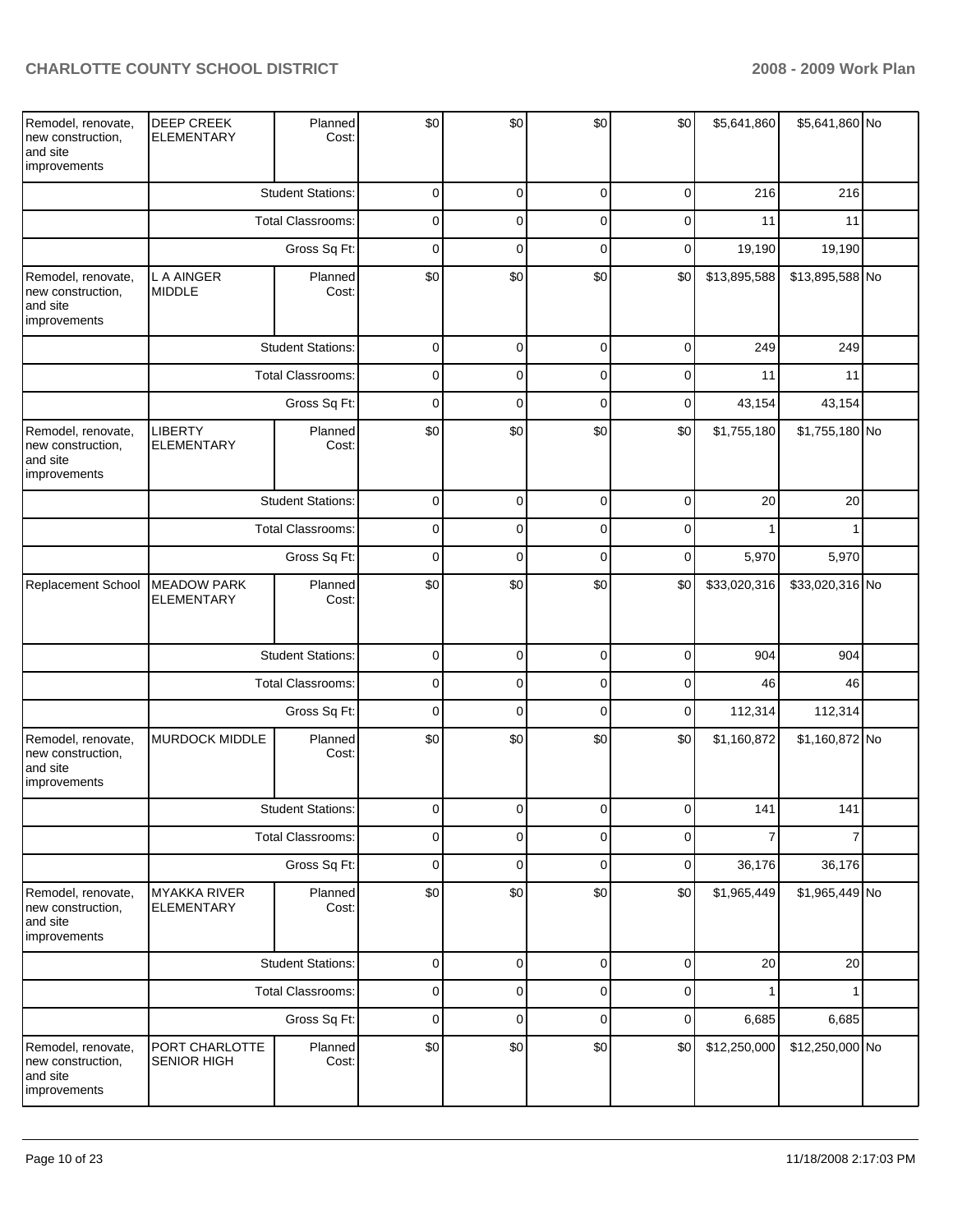| Remodel, renovate,<br>new construction,<br>and site<br>improvements | <b>DEEP CREEK</b><br><b>ELEMENTARY</b>   | Planned<br>Cost:         | \$0         | \$0         | \$0         | \$0            | \$5,641,860    | \$5,641,860 No  |  |
|---------------------------------------------------------------------|------------------------------------------|--------------------------|-------------|-------------|-------------|----------------|----------------|-----------------|--|
|                                                                     |                                          | <b>Student Stations:</b> | 0           | 0           | 0           | $\overline{0}$ | 216            | 216             |  |
|                                                                     |                                          | <b>Total Classrooms:</b> | 0           | 0           | 0           | 0              | 11             | 11              |  |
|                                                                     |                                          | Gross Sq Ft:             | 0           | 0           | 0           | 0              | 19,190         | 19,190          |  |
| Remodel, renovate,<br>new construction,<br>and site<br>improvements | L A AINGER<br><b>MIDDLE</b>              | Planned<br>Cost:         | \$0         | \$0         | \$0         | \$0            | \$13,895,588   | \$13,895,588 No |  |
|                                                                     |                                          | <b>Student Stations:</b> | 0           | $\mathbf 0$ | 0           | $\overline{0}$ | 249            | 249             |  |
|                                                                     |                                          | <b>Total Classrooms:</b> | $\mathbf 0$ | 0           | 0           | $\overline{0}$ | 11             | 11              |  |
|                                                                     |                                          | Gross Sq Ft:             | $\mathbf 0$ | $\mathbf 0$ | $\mathbf 0$ | $\mathbf 0$    | 43,154         | 43,154          |  |
| Remodel, renovate,<br>new construction,<br>and site<br>improvements | <b>LIBERTY</b><br><b>ELEMENTARY</b>      | Planned<br>Cost:         | \$0         | \$0         | \$0         | \$0            | \$1,755,180    | \$1,755,180 No  |  |
|                                                                     |                                          | <b>Student Stations:</b> | $\mathbf 0$ | 0           | 0           | 0              | 20             | 20              |  |
|                                                                     |                                          | Total Classrooms:        | 0           | 0           | 0           | 0              | 1              | 1               |  |
|                                                                     |                                          | Gross Sq Ft:             | $\mathbf 0$ | $\mathbf 0$ | $\mathbf 0$ | $\mathbf 0$    | 5,970          | 5,970           |  |
| Replacement School                                                  | <b>MEADOW PARK</b><br><b>ELEMENTARY</b>  | Planned<br>Cost:         | \$0         | \$0         | \$0         | \$0            | \$33,020,316   | \$33,020,316 No |  |
|                                                                     |                                          | <b>Student Stations:</b> | 0           | 0           | $\mathbf 0$ | $\mathbf 0$    | 904            | 904             |  |
|                                                                     |                                          | Total Classrooms:        | 0           | 0           | 0           | $\overline{0}$ | 46             | 46              |  |
|                                                                     |                                          | Gross Sq Ft:             | $\mathbf 0$ | $\mathbf 0$ | 0           | $\mathbf 0$    | 112,314        | 112,314         |  |
| Remodel, renovate,<br>new construction,<br>and site<br>improvements | MURDOCK MIDDLE                           | Planned<br>Cost:         | \$0         | \$0         | \$0         | \$0            | \$1,160,872    | \$1,160,872 No  |  |
|                                                                     |                                          | <b>Student Stations:</b> | $\Omega$    | $\Omega$    | $\Omega$    | $\Omega$       | 141            | 141             |  |
|                                                                     |                                          | <b>Total Classrooms:</b> | 0           | 0           | $\mathbf 0$ | $\overline{0}$ | $\overline{7}$ | $\overline{7}$  |  |
|                                                                     |                                          | Gross Sq Ft:             | $\mathbf 0$ | 0           | 0           | $\mathbf 0$    | 36,176         | 36,176          |  |
| Remodel, renovate,<br>new construction,<br>and site<br>improvements | <b>MYAKKA RIVER</b><br><b>ELEMENTARY</b> | Planned<br>Cost:         | \$0         | \$0         | \$0         | \$0            | \$1,965,449    | \$1,965,449 No  |  |
|                                                                     |                                          | <b>Student Stations:</b> | 0           | 0           | $\mathbf 0$ | $\overline{0}$ | 20             | 20              |  |
|                                                                     |                                          | Total Classrooms:        | 0           | 0           | 0           | $\overline{0}$ | 1              | 1               |  |
|                                                                     |                                          | Gross Sq Ft:             | 0           | 0           | 0           | $\overline{0}$ | 6,685          | 6,685           |  |
| Remodel, renovate,<br>new construction,<br>and site<br>improvements | PORT CHARLOTTE<br><b>SENIOR HIGH</b>     | Planned<br>Cost:         | \$0         | \$0         | \$0         | \$0            | \$12,250,000   | \$12,250,000 No |  |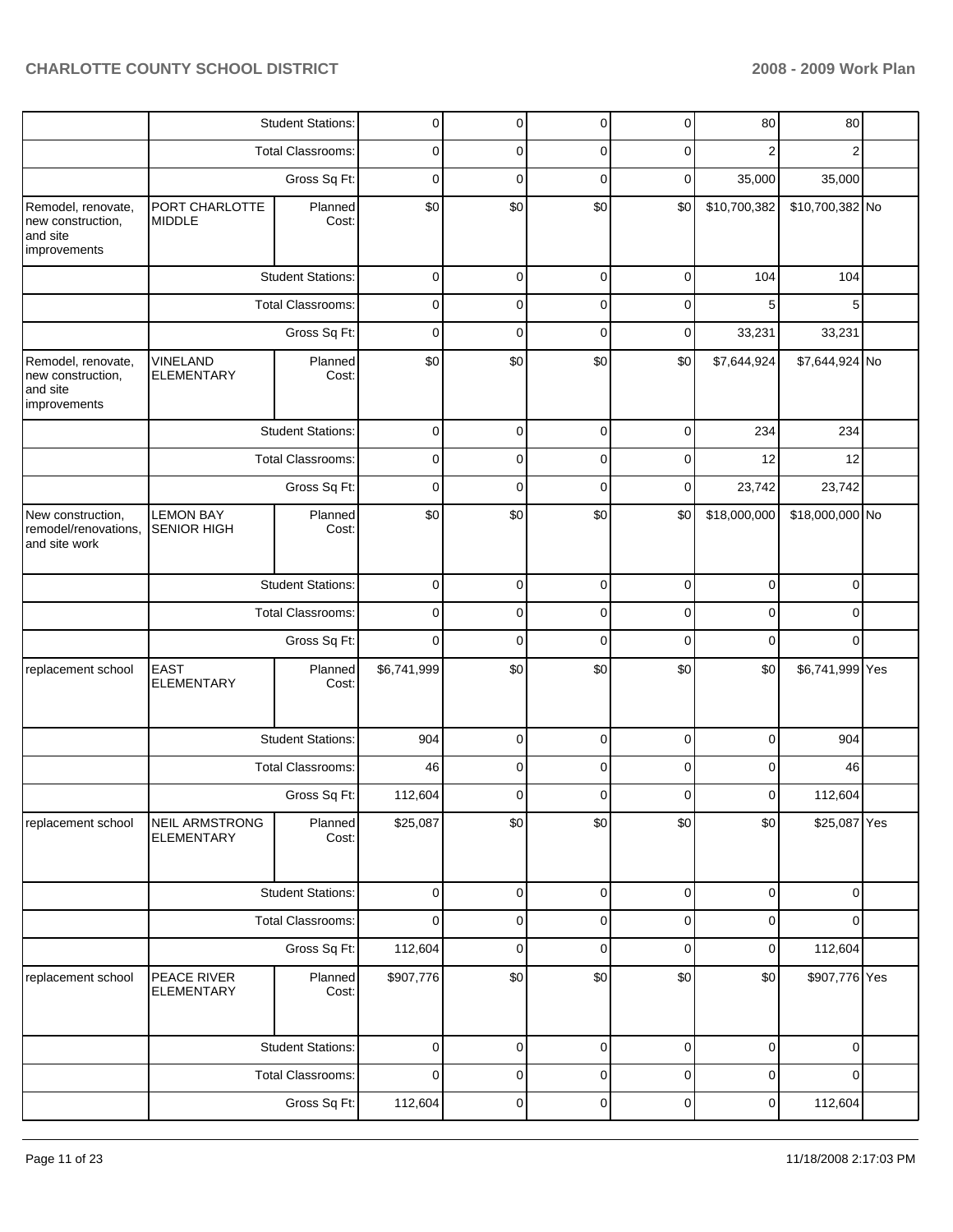|                                                                     |                                            | <b>Student Stations:</b> | 0           | 0           | 0           | 0           | 80           | 80              |  |
|---------------------------------------------------------------------|--------------------------------------------|--------------------------|-------------|-------------|-------------|-------------|--------------|-----------------|--|
|                                                                     |                                            | <b>Total Classrooms:</b> | 0           | 0           | 0           | 0           | 2            | 2               |  |
|                                                                     |                                            | Gross Sq Ft:             | 0           | 0           | 0           | 0           | 35,000       | 35,000          |  |
| Remodel, renovate,<br>new construction,<br>and site<br>improvements | PORT CHARLOTTE<br><b>MIDDLE</b>            | Planned<br>Cost:         | \$0         | \$0         | \$0         | \$0         | \$10,700,382 | \$10,700,382 No |  |
|                                                                     |                                            | <b>Student Stations:</b> | $\mathbf 0$ | 0           | $\mathbf 0$ | 0           | 104          | 104             |  |
|                                                                     |                                            | <b>Total Classrooms:</b> | 0           | 0           | 0           | 0           | 5            | 5               |  |
|                                                                     |                                            | Gross Sq Ft:             | $\mathbf 0$ | 0           | 0           | 0           | 33,231       | 33,231          |  |
| Remodel, renovate,<br>new construction,<br>and site<br>improvements | <b>VINELAND</b><br><b>ELEMENTARY</b>       | Planned<br>Cost:         | \$0         | \$0         | \$0         | \$0         | \$7,644,924  | \$7,644,924 No  |  |
|                                                                     |                                            | <b>Student Stations:</b> | 0           | 0           | 0           | 0           | 234          | 234             |  |
|                                                                     |                                            | Total Classrooms:        | 0           | 0           | 0           | 0           | 12           | 12              |  |
|                                                                     |                                            | Gross Sq Ft:             | 0           | 0           | 0           | 0           | 23,742       | 23,742          |  |
| New construction,<br>remodel/renovations,<br>and site work          | <b>LEMON BAY</b><br><b>SENIOR HIGH</b>     | Planned<br>Cost:         | \$0         | \$0         | \$0         | \$0         | \$18,000,000 | \$18,000,000 No |  |
|                                                                     |                                            | <b>Student Stations:</b> | $\mathbf 0$ | 0           | $\mathbf 0$ | 0           | $\mathbf 0$  | $\mathbf 0$     |  |
|                                                                     |                                            | Total Classrooms:        | $\mathbf 0$ | 0           | 0           | 0           | 0            | 0               |  |
|                                                                     |                                            | Gross Sq Ft:             | 0           | 0           | 0           | 0           | $\mathbf 0$  | $\Omega$        |  |
| replacement school                                                  | <b>EAST</b><br><b>ELEMENTARY</b>           | Planned<br>Cost:         | \$6,741,999 | \$0         | \$0         | \$0         | \$0          | \$6,741,999 Yes |  |
|                                                                     |                                            | <b>Student Stations:</b> | 904         | 0           | 0           | 0           | 0            | 904             |  |
|                                                                     |                                            | Total Classrooms:        | 46          | 0           | 0           | 0           | 0            | 46              |  |
|                                                                     |                                            | Gross Sq Ft:             | 112,604     | 0           | 0           | 0           | 0            | 112,604         |  |
| replacement school                                                  | <b>NEIL ARMSTRONG</b><br><b>ELEMENTARY</b> | Planned<br>Cost:         | \$25,087    | \$0         | \$0         | \$0         | \$0          | \$25,087 Yes    |  |
|                                                                     |                                            | <b>Student Stations:</b> | $\pmb{0}$   | $\mathbf 0$ | $\mathbf 0$ | $\mathbf 0$ | $\mathbf 0$  | $\mathbf 0$     |  |
|                                                                     |                                            | Total Classrooms:        | $\mathbf 0$ | 0           | $\mathbf 0$ | 0           | $\mathbf 0$  | 0               |  |
|                                                                     |                                            | Gross Sq Ft:             | 112,604     | $\mathbf 0$ | $\mathbf 0$ | $\mathbf 0$ | $\pmb{0}$    | 112,604         |  |
| replacement school                                                  | PEACE RIVER<br><b>ELEMENTARY</b>           | Planned<br>Cost:         | \$907,776   | \$0         | \$0         | \$0         | \$0          | \$907,776 Yes   |  |
|                                                                     |                                            | <b>Student Stations:</b> | $\mathbf 0$ | 0           | $\pmb{0}$   | 0           | $\mathbf 0$  | $\mathbf 0$     |  |
|                                                                     |                                            | <b>Total Classrooms:</b> | 0           | 0           | 0           | 0           | 0            | 0               |  |
|                                                                     |                                            | Gross Sq Ft:             | 112,604     | 0           | $\pmb{0}$   | 0           | 0            | 112,604         |  |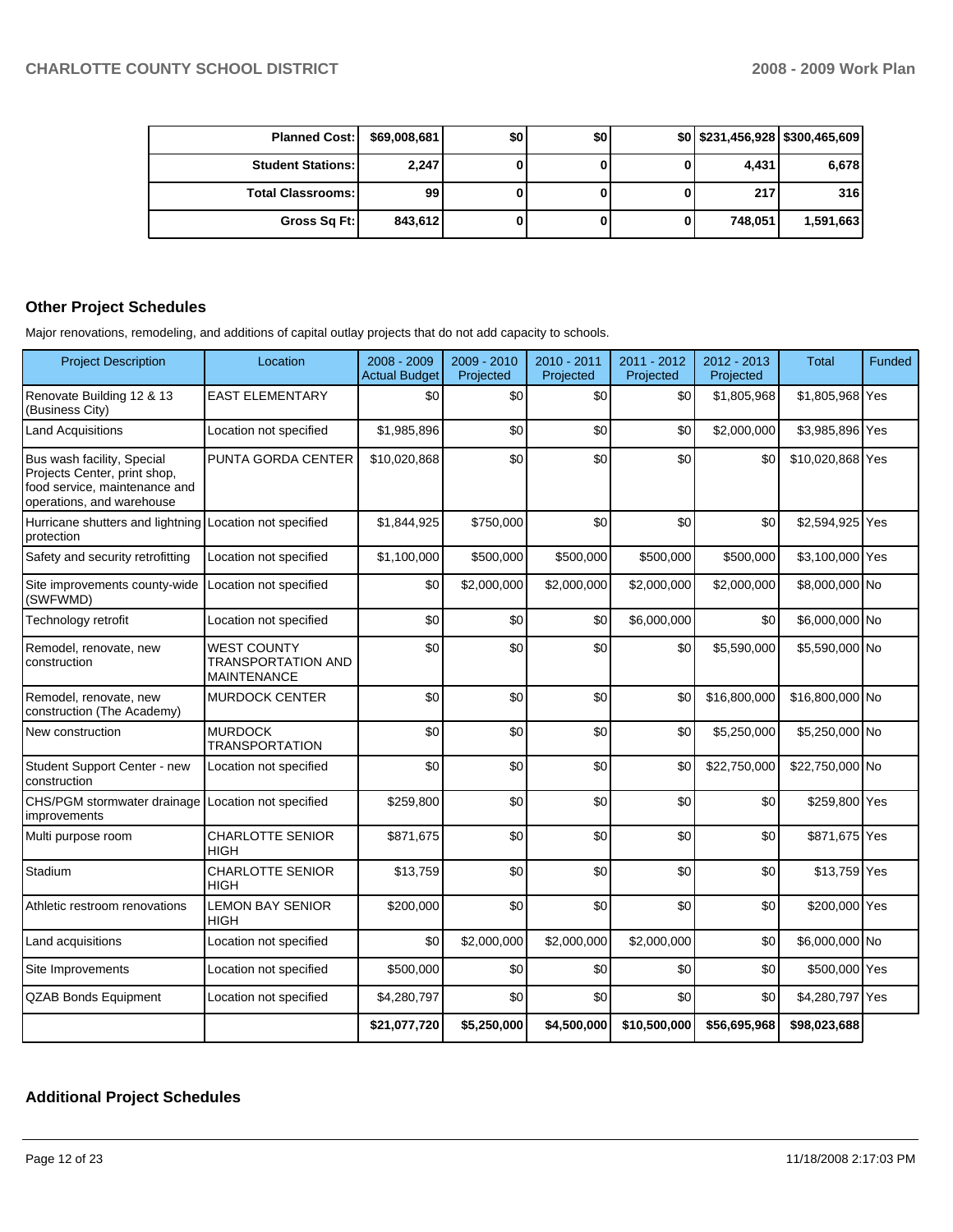| <b>Planned Cost:</b>       | \$69,008,681 | \$0 | \$0 |   |         | \$0 \$231,456,928 \$300,465,609 |
|----------------------------|--------------|-----|-----|---|---------|---------------------------------|
| <b>Student Stations:</b>   | 2,247        |     |     |   | 4,431   | 6,678                           |
| <b>Total Classrooms: I</b> | 99           |     |     |   | 217     | 316                             |
| Gross Sq Ft:               | 843,612      |     |     | 0 | 748,051 | 1,591,663                       |

# **Other Project Schedules**

Major renovations, remodeling, and additions of capital outlay projects that do not add capacity to schools.

| <b>Project Description</b>                                                                                               | Location                                                              | 2008 - 2009<br><b>Actual Budget</b> | 2009 - 2010<br>Projected | 2010 - 2011<br>Projected | 2011 - 2012<br>Projected | 2012 - 2013<br>Projected | Total            | Funded |
|--------------------------------------------------------------------------------------------------------------------------|-----------------------------------------------------------------------|-------------------------------------|--------------------------|--------------------------|--------------------------|--------------------------|------------------|--------|
| Renovate Building 12 & 13<br>(Business City)                                                                             | <b>EAST ELEMENTARY</b>                                                | \$0                                 | \$0                      | \$0                      | \$0                      | \$1,805,968              | \$1,805,968 Yes  |        |
| <b>Land Acquisitions</b>                                                                                                 | Location not specified                                                | \$1,985,896                         | \$0                      | \$0                      | \$0                      | \$2,000,000              | \$3,985,896 Yes  |        |
| Bus wash facility, Special<br>Projects Center, print shop,<br>food service, maintenance and<br>operations, and warehouse | PUNTA GORDA CENTER                                                    | \$10,020,868                        | \$0                      | \$0                      | \$0                      | \$0                      | \$10,020,868 Yes |        |
| Hurricane shutters and lightning Location not specified<br>protection                                                    |                                                                       | \$1,844,925                         | \$750,000                | \$0                      | \$0                      | \$0                      | \$2,594,925 Yes  |        |
| Safety and security retrofitting                                                                                         | Location not specified                                                | \$1,100,000                         | \$500,000                | \$500,000                | \$500,000                | \$500,000                | \$3,100,000 Yes  |        |
| Site improvements county-wide<br>(SWFWMD)                                                                                | Location not specified                                                | \$0                                 | \$2,000,000              | \$2,000,000              | \$2,000,000              | \$2,000,000              | \$8,000,000 No   |        |
| Technology retrofit                                                                                                      | Location not specified                                                | \$0                                 | \$0                      | \$0                      | \$6,000,000              | \$0                      | \$6,000,000 No   |        |
| Remodel, renovate, new<br>construction                                                                                   | <b>WEST COUNTY</b><br><b>TRANSPORTATION AND</b><br><b>MAINTENANCE</b> | \$0                                 | \$0                      | \$0                      | \$0                      | \$5,590,000              | \$5,590,000 No   |        |
| Remodel, renovate, new<br>construction (The Academy)                                                                     | <b>MURDOCK CENTER</b>                                                 | \$0                                 | \$0                      | \$0                      | \$0                      | \$16,800,000             | \$16,800,000 No  |        |
| New construction                                                                                                         | <b>MURDOCK</b><br><b>TRANSPORTATION</b>                               | \$0                                 | \$0                      | \$0                      | \$0                      | \$5,250,000              | \$5,250,000 No   |        |
| Student Support Center - new<br>construction                                                                             | Location not specified                                                | \$0                                 | \$0                      | \$0                      | \$0                      | \$22,750,000             | \$22,750,000 No  |        |
| CHS/PGM stormwater drainage<br>improvements                                                                              | Location not specified                                                | \$259,800                           | \$0                      | \$0                      | \$0                      | \$0                      | \$259,800 Yes    |        |
| Multi purpose room                                                                                                       | <b>CHARLOTTE SENIOR</b><br><b>HIGH</b>                                | \$871,675                           | \$0                      | \$0                      | \$0                      | \$0                      | \$871,675 Yes    |        |
| Stadium                                                                                                                  | <b>CHARLOTTE SENIOR</b><br><b>HIGH</b>                                | \$13,759                            | \$0                      | \$0                      | \$0                      | \$0                      | \$13,759 Yes     |        |
| Athletic restroom renovations                                                                                            | <b>LEMON BAY SENIOR</b><br><b>HIGH</b>                                | \$200,000                           | \$0                      | \$0                      | \$0                      | \$0                      | \$200,000 Yes    |        |
| Land acquisitions                                                                                                        | Location not specified                                                | \$0                                 | \$2,000,000              | \$2,000,000              | \$2,000,000              | \$0                      | \$6,000,000 No   |        |
| Site Improvements                                                                                                        | Location not specified                                                | \$500,000                           | \$0                      | \$0                      | \$0                      | \$0                      | \$500,000 Yes    |        |
| <b>QZAB Bonds Equipment</b>                                                                                              | Location not specified                                                | \$4,280,797                         | \$0                      | \$0                      | \$0                      | \$0                      | \$4,280,797 Yes  |        |
|                                                                                                                          |                                                                       | \$21,077,720                        | \$5,250,000              | \$4,500,000              | \$10,500,000             | \$56,695,968             | \$98,023,688     |        |

# **Additional Project Schedules**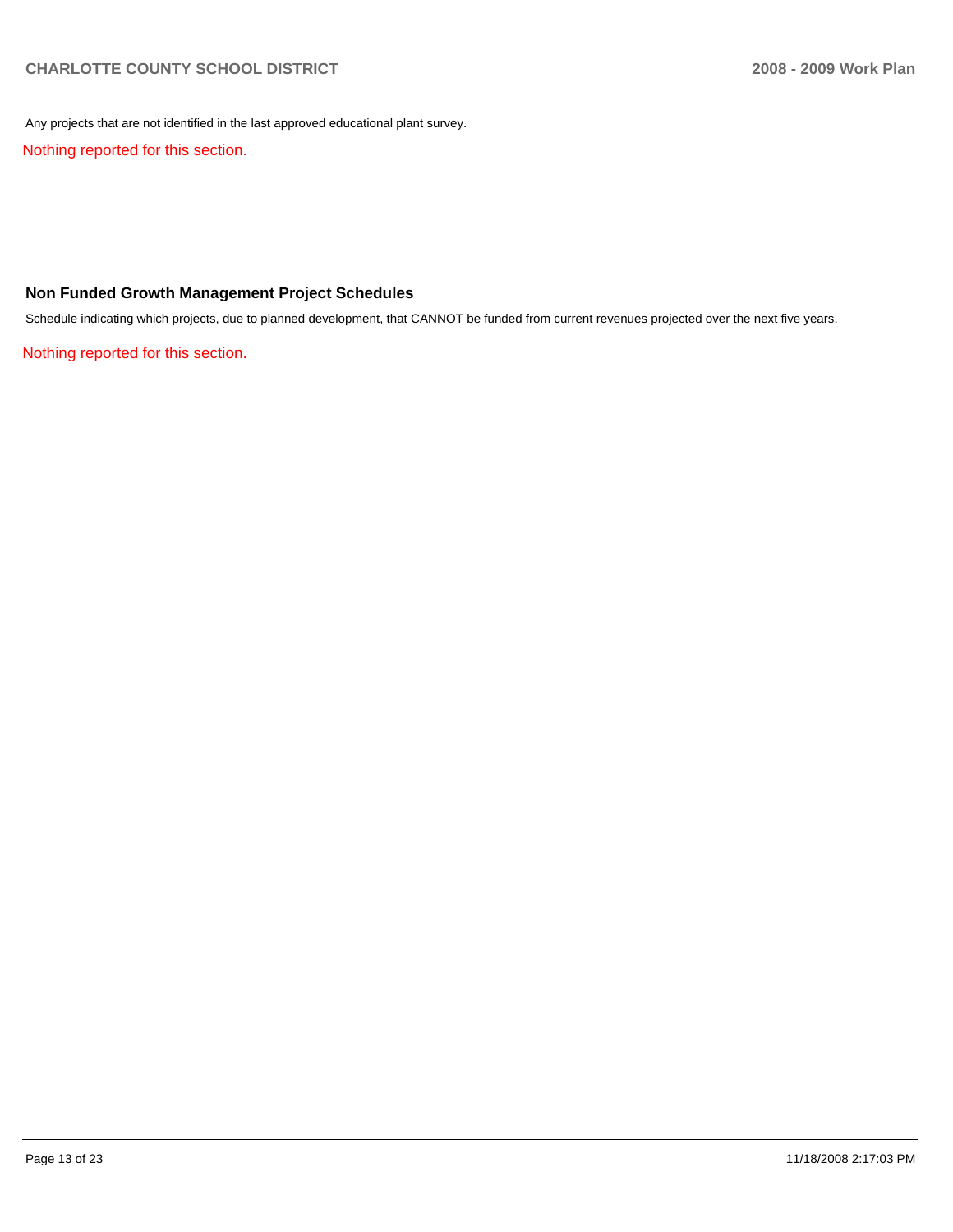Any projects that are not identified in the last approved educational plant survey.

Nothing reported for this section.

## **Non Funded Growth Management Project Schedules**

Schedule indicating which projects, due to planned development, that CANNOT be funded from current revenues projected over the next five years.

Nothing reported for this section.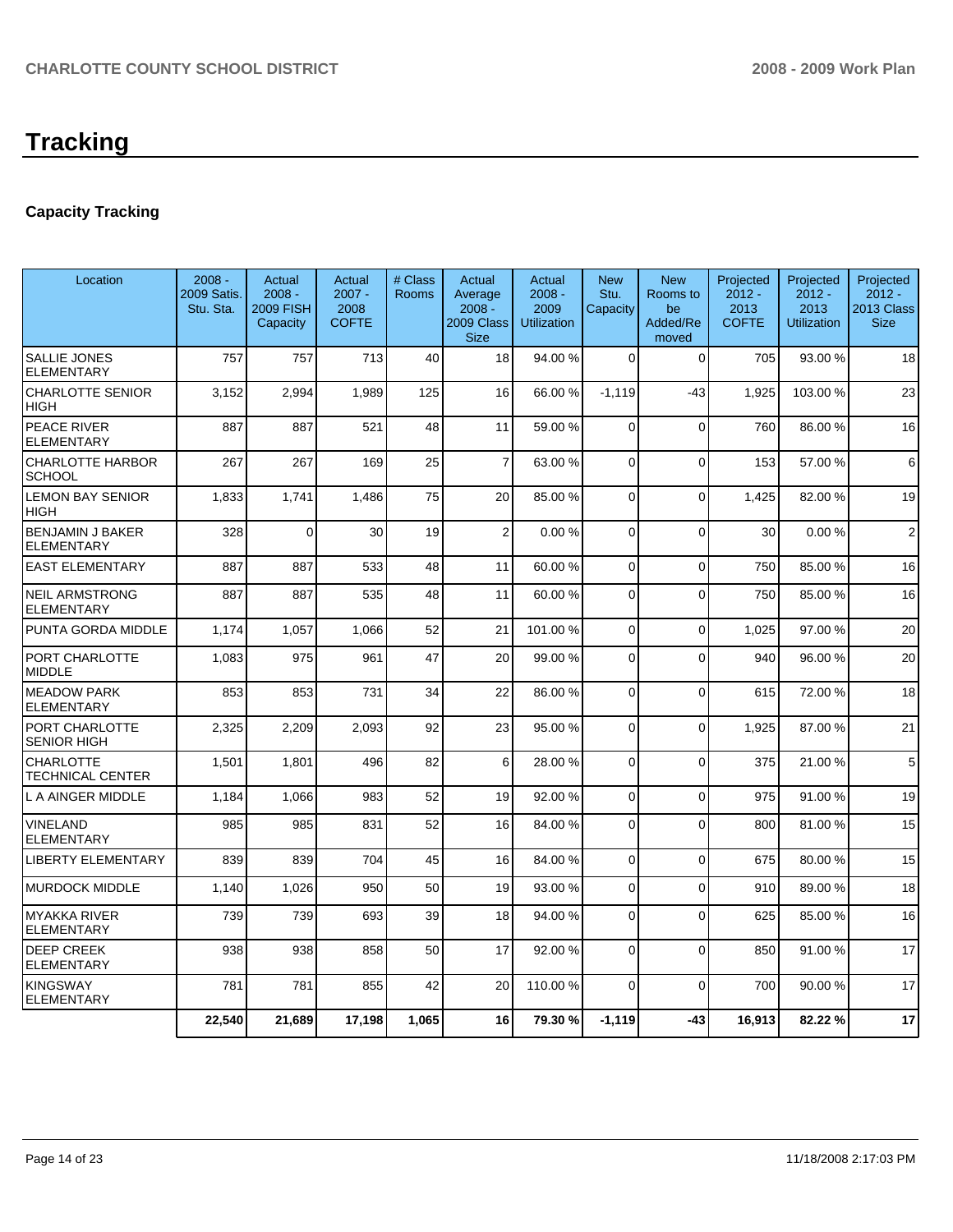# **Tracking**

# **Capacity Tracking**

| Location                                     | $2008 -$<br>2009 Satis.<br>Stu. Sta. | Actual<br>$2008 -$<br><b>2009 FISH</b><br>Capacity | Actual<br>$2007 -$<br>2008<br><b>COFTE</b> | # Class<br><b>Rooms</b> | Actual<br>Average<br>$2008 -$<br>2009 Class<br><b>Size</b> | Actual<br>$2008 -$<br>2009<br><b>Utilization</b> | <b>New</b><br>Stu.<br>Capacity | <b>New</b><br>Rooms to<br>be<br>Added/Re<br>moved | Projected<br>$2012 -$<br>2013<br><b>COFTE</b> | Projected<br>$2012 -$<br>2013<br><b>Utilization</b> | Projected<br>$2012 -$<br>2013 Class<br><b>Size</b> |
|----------------------------------------------|--------------------------------------|----------------------------------------------------|--------------------------------------------|-------------------------|------------------------------------------------------------|--------------------------------------------------|--------------------------------|---------------------------------------------------|-----------------------------------------------|-----------------------------------------------------|----------------------------------------------------|
| SALLIE JONES<br><b>ELEMENTARY</b>            | 757                                  | 757                                                | 713                                        | 40                      | 18                                                         | 94.00 %                                          | $\Omega$                       | $\Omega$                                          | 705                                           | 93.00 %                                             | 18                                                 |
| <b>CHARLOTTE SENIOR</b><br>HIGH              | 3,152                                | 2.994                                              | 1.989                                      | 125                     | 16                                                         | 66.00 %                                          | $-1,119$                       | $-43$                                             | 1.925                                         | 103.00 %                                            | 23                                                 |
| PEACE RIVER<br><b>ELEMENTARY</b>             | 887                                  | 887                                                | 521                                        | 48                      | 11                                                         | 59.00 %                                          | $\Omega$                       | $\Omega$                                          | 760                                           | 86.00 %                                             | 16                                                 |
| <b>CHARLOTTE HARBOR</b><br>SCHOOL            | 267                                  | 267                                                | 169                                        | 25                      | $\overline{7}$                                             | 63.00 %                                          | $\Omega$                       | $\Omega$                                          | 153                                           | 57.00 %                                             | 6                                                  |
| <b>LEMON BAY SENIOR</b><br>HIGH              | 1,833                                | 1,741                                              | 1.486                                      | 75                      | 20                                                         | 85.00 %                                          | $\Omega$                       | $\Omega$                                          | 1,425                                         | 82.00 %                                             | 19                                                 |
| <b>BENJAMIN J BAKER</b><br><b>ELEMENTARY</b> | 328                                  | $\Omega$                                           | 30                                         | 19                      | $\overline{2}$                                             | 0.00%                                            | $\Omega$                       | $\Omega$                                          | 30                                            | 0.00%                                               | $\overline{2}$                                     |
| <b>EAST ELEMENTARY</b>                       | 887                                  | 887                                                | 533                                        | 48                      | 11                                                         | 60.00 %                                          | $\Omega$                       | $\mathbf{0}$                                      | 750                                           | 85.00 %                                             | 16                                                 |
| NEIL ARMSTRONG<br><b>ELEMENTARY</b>          | 887                                  | 887                                                | 535                                        | 48                      | 11                                                         | 60.00 %                                          | $\Omega$                       | $\Omega$                                          | 750                                           | 85.00 %                                             | 16                                                 |
| PUNTA GORDA MIDDLE                           | 1,174                                | 1,057                                              | 1,066                                      | 52                      | 21                                                         | 101.00%                                          | $\Omega$                       | $\Omega$                                          | 1,025                                         | 97.00 %                                             | 20                                                 |
| PORT CHARLOTTE<br><b>MIDDLE</b>              | 1.083                                | 975                                                | 961                                        | 47                      | 20                                                         | 99.00 %                                          | $\Omega$                       | $\mathbf{0}$                                      | 940                                           | 96.00 %                                             | 20                                                 |
| <b>MEADOW PARK</b><br><b>ELEMENTARY</b>      | 853                                  | 853                                                | 731                                        | 34                      | 22                                                         | 86.00 %                                          | $\Omega$                       | $\Omega$                                          | 615                                           | 72.00 %                                             | 18                                                 |
| PORT CHARLOTTE<br><b>SENIOR HIGH</b>         | 2,325                                | 2,209                                              | 2.093                                      | 92                      | 23                                                         | 95.00 %                                          | $\Omega$                       | $\Omega$                                          | 1.925                                         | 87.00 %                                             | 21                                                 |
| <b>CHARLOTTE</b><br>TECHNICAL CENTER         | 1,501                                | 1,801                                              | 496                                        | 82                      | 6                                                          | 28.00 %                                          | $\Omega$                       | $\Omega$                                          | 375                                           | 21.00 %                                             | 5                                                  |
| L A AINGER MIDDLE                            | 1,184                                | 1,066                                              | 983                                        | 52                      | 19                                                         | 92.00 %                                          | 0                              | $\mathbf{0}$                                      | 975                                           | 91.00 %                                             | 19                                                 |
| <b>VINELAND</b><br><b>ELEMENTARY</b>         | 985                                  | 985                                                | 831                                        | 52                      | 16                                                         | 84.00 %                                          | $\Omega$                       | $\mathbf{0}$                                      | 800                                           | 81.00 %                                             | 15                                                 |
| <b>LIBERTY ELEMENTARY</b>                    | 839                                  | 839                                                | 704                                        | 45                      | 16                                                         | 84.00%                                           | $\Omega$                       | $\mathbf{0}$                                      | 675                                           | 80.00 %                                             | 15                                                 |
| <b>MURDOCK MIDDLE</b>                        | 1,140                                | 1,026                                              | 950                                        | 50                      | 19                                                         | 93.00 %                                          | 0                              | $\mathbf 0$                                       | 910                                           | 89.00 %                                             | 18                                                 |
| <b>MYAKKA RIVER</b><br><b>ELEMENTARY</b>     | 739                                  | 739                                                | 693                                        | 39                      | 18                                                         | 94.00 %                                          | $\Omega$                       | $\mathbf{0}$                                      | 625                                           | 85.00 %                                             | 16                                                 |
| <b>DEEP CREEK</b><br><b>ELEMENTARY</b>       | 938                                  | 938                                                | 858                                        | 50                      | 17                                                         | 92.00 %                                          | $\Omega$                       | $\Omega$                                          | 850                                           | 91.00 %                                             | 17                                                 |
| <b>KINGSWAY</b><br><b>ELEMENTARY</b>         | 781                                  | 781                                                | 855                                        | 42                      | 20                                                         | 110.00 %                                         | $\Omega$                       | $\Omega$                                          | 700                                           | 90.00 %                                             | 17                                                 |
|                                              | 22.540                               | 21,689                                             | 17,198                                     | 1.065                   | 16                                                         | 79.30 %                                          | $-1.119$                       | $-43$                                             | 16,913                                        | 82.22 %                                             | 17                                                 |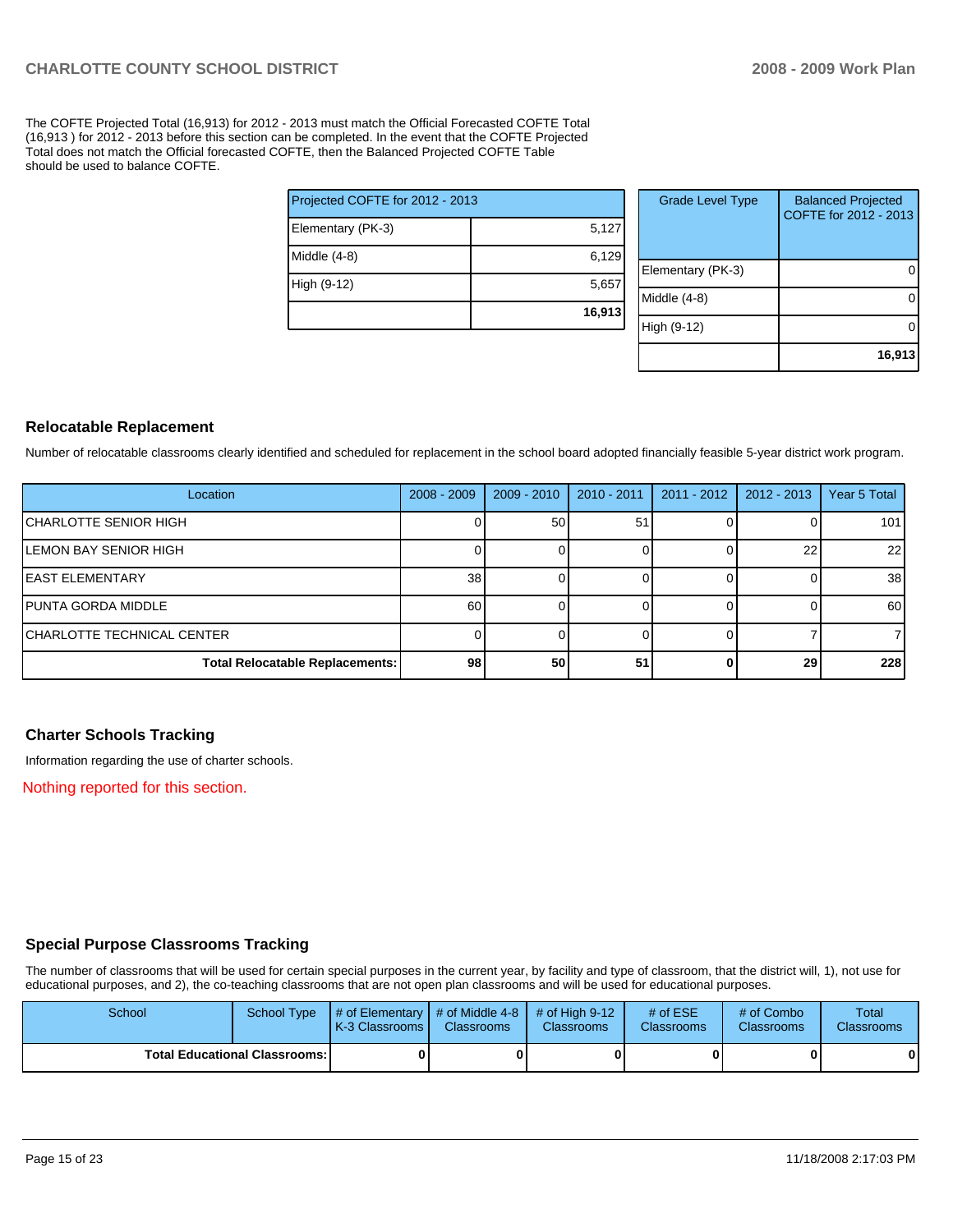The COFTE Projected Total (16,913) for 2012 - 2013 must match the Official Forecasted COFTE Total (16,913 ) for 2012 - 2013 before this section can be completed. In the event that the COFTE Projected Total does not match the Official forecasted COFTE, then the Balanced Projected COFTE Table should be used to balance COFTE.

| Projected COFTE for 2012 - 2013 |        |  |  |  |  |
|---------------------------------|--------|--|--|--|--|
| Elementary (PK-3)               | 5,127  |  |  |  |  |
| Middle (4-8)                    | 6,129  |  |  |  |  |
| High (9-12)                     | 5,657  |  |  |  |  |
|                                 | 16,913 |  |  |  |  |

| <b>Grade Level Type</b> | <b>Balanced Projected</b><br>COFTE for 2012 - 2013 |
|-------------------------|----------------------------------------------------|
| Elementary (PK-3)       |                                                    |
| Middle (4-8)            |                                                    |
| High (9-12)             |                                                    |
|                         | 16,913                                             |

#### **Relocatable Replacement**

Number of relocatable classrooms clearly identified and scheduled for replacement in the school board adopted financially feasible 5-year district work program.

| Location                               | $2008 - 2009$   | $2009 - 2010$ | $2010 - 2011$ | $2011 - 2012$ | $2012 - 2013$ | Year 5 Total |
|----------------------------------------|-----------------|---------------|---------------|---------------|---------------|--------------|
| CHARLOTTE SENIOR HIGH                  |                 | 50            | 51            |               |               | 101          |
| <b>LEMON BAY SENIOR HIGH</b>           |                 |               |               |               | 22            | 22           |
| <b>IEAST ELEMENTARY</b>                | 38 <sup>1</sup> |               |               |               |               | 38           |
| PUNTA GORDA MIDDLE                     | 60              |               |               |               |               | 60           |
| CHARLOTTE TECHNICAL CENTER             |                 |               |               |               |               |              |
| <b>Total Relocatable Replacements:</b> | 98 I            | 50            | 51            |               | 29            | 228          |

#### **Charter Schools Tracking**

Information regarding the use of charter schools.

Nothing reported for this section.

# **Special Purpose Classrooms Tracking**

The number of classrooms that will be used for certain special purposes in the current year, by facility and type of classroom, that the district will, 1), not use for educational purposes, and 2), the co-teaching classrooms that are not open plan classrooms and will be used for educational purposes.

| School | School Type                            | $\parallel$ # of Elementary $\parallel$ # of Middle 4-8 $\parallel$ # of High 9-12<br>I K-3 Classrooms I | <b>Classrooms</b> | <b>Classrooms</b> | # of $ESE$<br><b>Classrooms</b> | # of Combo<br><b>Classrooms</b> | Total<br><b>Classrooms</b> |
|--------|----------------------------------------|----------------------------------------------------------------------------------------------------------|-------------------|-------------------|---------------------------------|---------------------------------|----------------------------|
|        | <b>Total Educational Classrooms: I</b> |                                                                                                          |                   | 0                 |                                 | 0                               | $\mathbf{0}$               |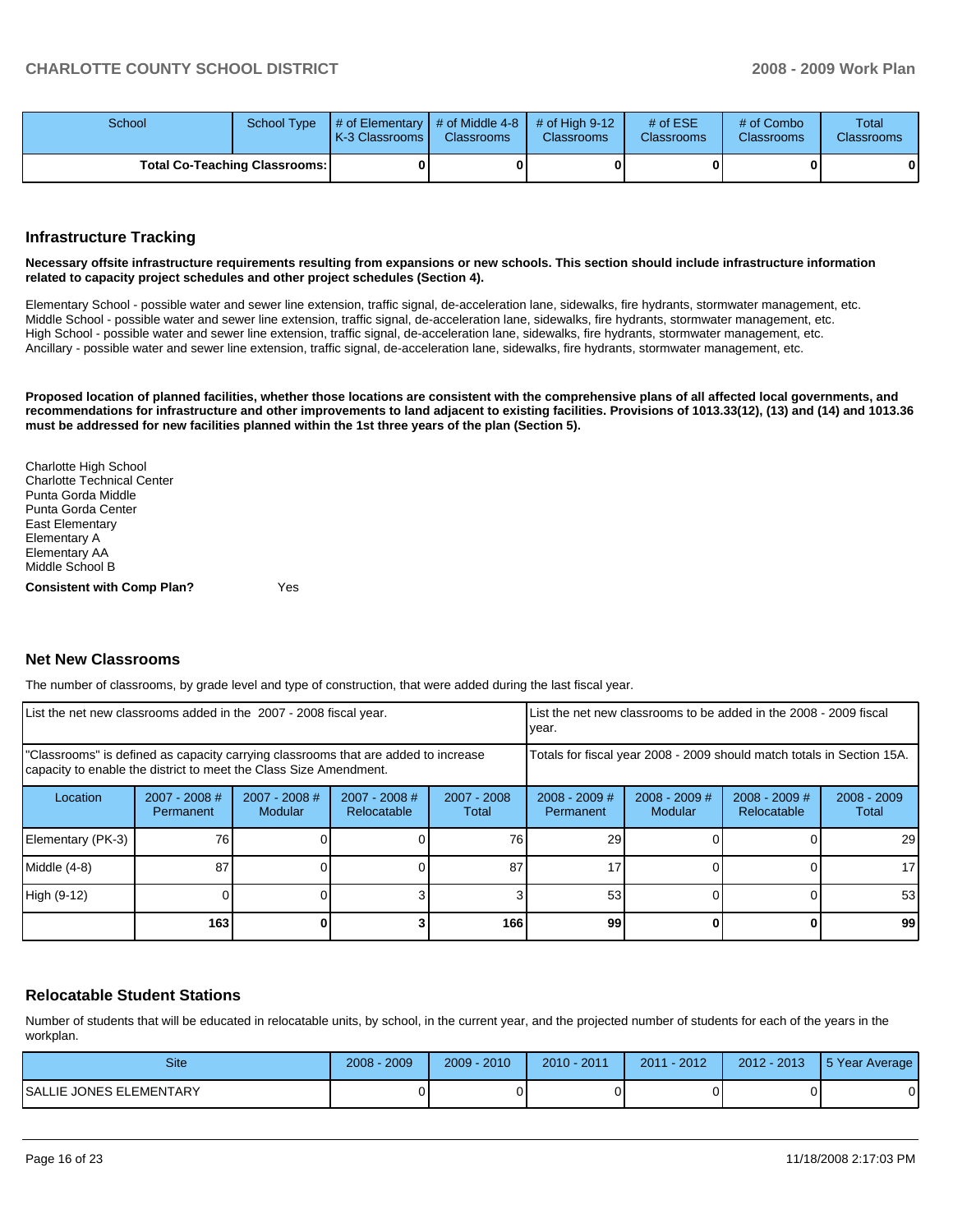| School                               | School Type | # of Elementary  # of Middle 4-8  # of High 9-12<br>K-3 Classrooms I | <b>Classrooms</b> | <b>Classrooms</b> | # of $ESE$<br><b>Classrooms</b> | # of Combo<br><b>Classrooms</b> | Total<br><b>Classrooms</b> |
|--------------------------------------|-------------|----------------------------------------------------------------------|-------------------|-------------------|---------------------------------|---------------------------------|----------------------------|
| <b>Total Co-Teaching Classrooms:</b> |             |                                                                      | 0                 |                   |                                 |                                 | 0                          |

#### **Infrastructure Tracking**

**Necessary offsite infrastructure requirements resulting from expansions or new schools. This section should include infrastructure information related to capacity project schedules and other project schedules (Section 4).** 

Elementary School - possible water and sewer line extension, traffic signal, de-acceleration lane, sidewalks, fire hydrants, stormwater management, etc.�� Middle School - possible water and sewer line extension, traffic signal, de-acceleration lane, sidewalks, fire hydrants, stormwater management, etc. High School - possible water and sewer line extension, traffic signal, de-acceleration lane, sidewalks, fire hydrants, stormwater management, etc. Ancillary - possible water and sewer line extension, traffic signal, de-acceleration lane, sidewalks, fire hydrants, stormwater management, etc.

**Proposed location of planned facilities, whether those locations are consistent with the comprehensive plans of all affected local governments, and recommendations for infrastructure and other improvements to land adjacent to existing facilities. Provisions of 1013.33(12), (13) and (14) and 1013.36 must be addressed for new facilities planned within the 1st three years of the plan (Section 5).** 

Charlotte High School�� Charlotte Technical Center�� Punta Gorda Middle Punta Gorda Center East Elementary�� Elementary A�� Elementary AA�� Middle School B **Consistent with Comp Plan?** Yes

#### **Net New Classrooms**

The number of classrooms, by grade level and type of construction, that were added during the last fiscal year.

| List the net new classrooms added in the 2007 - 2008 fiscal year.                                                                                       |                              |                          |                                | List the net new classrooms to be added in the 2008 - 2009 fiscal<br>year. |                              |                            |                                |                        |
|---------------------------------------------------------------------------------------------------------------------------------------------------------|------------------------------|--------------------------|--------------------------------|----------------------------------------------------------------------------|------------------------------|----------------------------|--------------------------------|------------------------|
| "Classrooms" is defined as capacity carrying classrooms that are added to increase<br>capacity to enable the district to meet the Class Size Amendment. |                              |                          |                                | Totals for fiscal year 2008 - 2009 should match totals in Section 15A.     |                              |                            |                                |                        |
| Location                                                                                                                                                | $2007 - 2008$ #<br>Permanent | 2007 - 2008 #<br>Modular | $2007 - 2008$ #<br>Relocatable | 2007 - 2008<br>Total                                                       | $2008 - 2009$ #<br>Permanent | $2008 - 2009$ #<br>Modular | $2008 - 2009$ #<br>Relocatable | $2008 - 2009$<br>Total |
| Elementary (PK-3)                                                                                                                                       | 76                           |                          |                                | 76                                                                         | 29                           |                            |                                | 29                     |
| Middle (4-8)                                                                                                                                            | 87                           |                          |                                | 87                                                                         | 17                           |                            |                                | 17                     |
| High (9-12)                                                                                                                                             |                              |                          |                                |                                                                            | 53                           |                            |                                | 53                     |
|                                                                                                                                                         | 163                          |                          |                                | 166                                                                        | 99                           |                            | 0                              | 99                     |

#### **Relocatable Student Stations**

Number of students that will be educated in relocatable units, by school, in the current year, and the projected number of students for each of the years in the workplan.

| <b>Site</b>                    | .2009<br>2008 | $2009 - 2010$ | 2010 - 2011 | 2011 - 2012 | $2012 - 2013$ | 5 Year Average |
|--------------------------------|---------------|---------------|-------------|-------------|---------------|----------------|
| <b>SALLIE JONES ELEMENTARY</b> |               |               |             |             |               |                |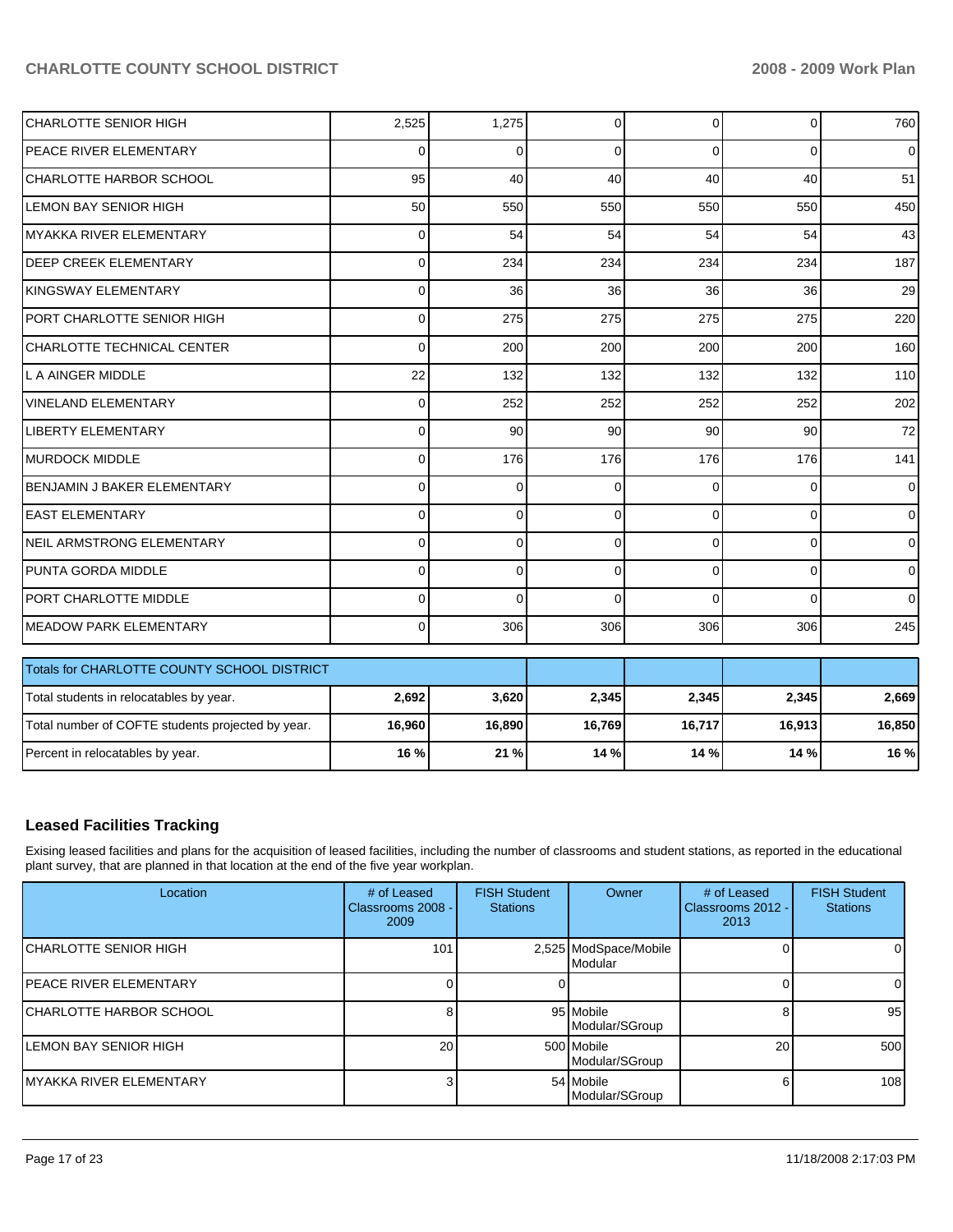| <b>CHARLOTTE SENIOR HIGH</b>                      | 2,525    | 1,275       | 0        | $\Omega$ | $\overline{0}$ | 760            |  |  |
|---------------------------------------------------|----------|-------------|----------|----------|----------------|----------------|--|--|
| PEACE RIVER ELEMENTARY                            | 0        | $\Omega$    | $\Omega$ | $\Omega$ | $\Omega$       | $\overline{0}$ |  |  |
| <b>CHARLOTTE HARBOR SCHOOL</b>                    | 95       | 40          | 40       | 40       | 40             | 51             |  |  |
| LEMON BAY SENIOR HIGH                             | 50       | 550         | 550      | 550      | 550            | 450            |  |  |
| <b>MYAKKA RIVER ELEMENTARY</b>                    | $\Omega$ | 54          | 54       | 54       | 54             | 43             |  |  |
| <b>DEEP CREEK ELEMENTARY</b>                      | $\Omega$ | 234         | 234      | 234      | 234            | 187            |  |  |
| KINGSWAY ELEMENTARY                               | $\Omega$ | 36          | 36       | 36       | 36             | 29             |  |  |
| <b>PORT CHARLOTTE SENIOR HIGH</b>                 | $\Omega$ | 275         | 275      | 275      | 275            | 220            |  |  |
| CHARLOTTE TECHNICAL CENTER                        | $\Omega$ | 200         | 200      | 200      | 200            | 160            |  |  |
| L A AINGER MIDDLE                                 | 22       | 132         | 132      | 132      | 132            | 110            |  |  |
| <b>VINELAND ELEMENTARY</b>                        | 0        | 252         | 252      | 252      | 252            | 202            |  |  |
| <b>LIBERTY ELEMENTARY</b>                         | $\Omega$ | 90          | 90       | 90       | 90             | 72             |  |  |
| <b>MURDOCK MIDDLE</b>                             | $\Omega$ | 176         | 176      | 176      | 176            | 141            |  |  |
| BENJAMIN J BAKER ELEMENTARY                       | $\Omega$ | $\mathbf 0$ | 0        | $\Omega$ | 0              | $\mathbf 0$    |  |  |
| <b>LEAST ELEMENTARY</b>                           | $\Omega$ | $\mathbf 0$ | $\Omega$ | $\Omega$ | $\mathbf{0}$   | $\overline{0}$ |  |  |
| NEIL ARMSTRONG ELEMENTARY                         | $\Omega$ | $\mathbf 0$ | $\Omega$ | $\Omega$ | $\overline{0}$ | $\overline{0}$ |  |  |
| PUNTA GORDA MIDDLE                                | $\Omega$ | $\Omega$    | $\Omega$ | $\Omega$ | $\Omega$       | $\overline{0}$ |  |  |
| PORT CHARLOTTE MIDDLE                             | $\Omega$ | $\Omega$    | $\Omega$ | $\Omega$ | $\mathbf{0}$   | $\overline{0}$ |  |  |
| MEADOW PARK ELEMENTARY                            | $\Omega$ | 306         | 306      | 306      | 306            | 245            |  |  |
| Totals for CHARLOTTE COUNTY SCHOOL DISTRICT       |          |             |          |          |                |                |  |  |
|                                                   |          |             |          |          |                |                |  |  |
| Total students in relocatables by year.           | 2,692    | 3,620       | 2,345    | 2,345    | 2,345          | 2,669          |  |  |
| Total number of COFTE students projected by year. | 16,960   | 16,890      | 16,769   | 16,717   | 16,913         | 16,850         |  |  |
| Percent in relocatables by year.                  | 16 %     | 21 %        | 14 %     | 14 %     | 14 %           | 16 %           |  |  |

# **Leased Facilities Tracking**

Exising leased facilities and plans for the acquisition of leased facilities, including the number of classrooms and student stations, as reported in the educational plant survey, that are planned in that location at the end of the five year workplan.

| Location                        | # of Leased<br>Classrooms 2008 -<br>2009 | <b>FISH Student</b><br><b>Stations</b> | Owner                            | # of Leased<br>l Classrooms 2012 -<br>2013 | <b>FISH Student</b><br><b>Stations</b> |
|---------------------------------|------------------------------------------|----------------------------------------|----------------------------------|--------------------------------------------|----------------------------------------|
| <b>ICHARLOTTE SENIOR HIGH</b>   | 101                                      |                                        | 2,525 ModSpace/Mobile<br>Modular |                                            |                                        |
| <b>IPEACE RIVER ELEMENTARY</b>  |                                          |                                        |                                  |                                            | 0                                      |
| <b>ICHARLOTTE HARBOR SCHOOL</b> | 8                                        |                                        | 95 Mobile<br>Modular/SGroup      |                                            | 95                                     |
| <b>ILEMON BAY SENIOR HIGH</b>   | <b>20</b>                                |                                        | 500 Mobile<br>Modular/SGroup     | 20                                         | 500                                    |
| IMYAKKA RIVER ELEMENTARY        | ٩                                        |                                        | 54 Mobile<br>Modular/SGroup      |                                            | 108                                    |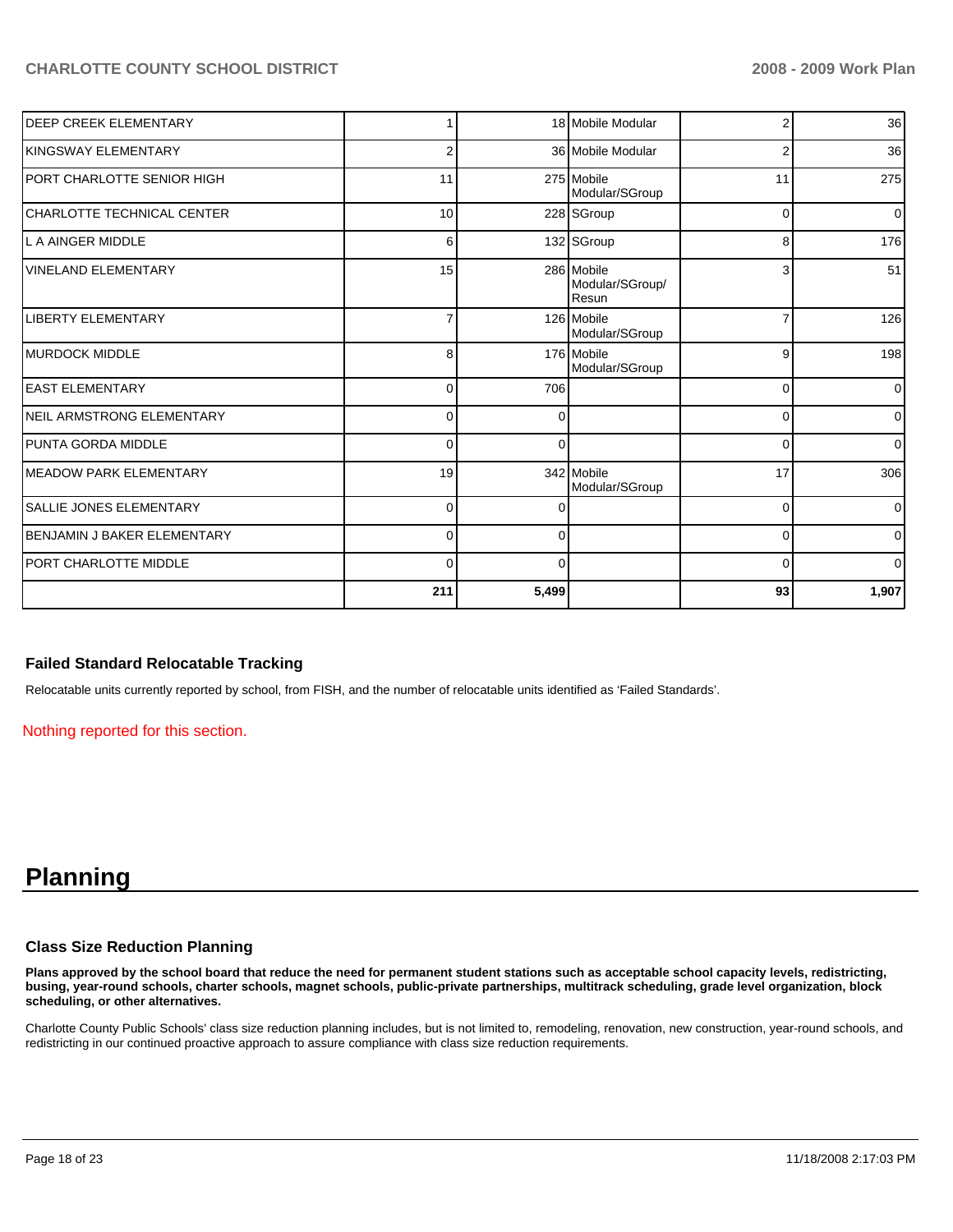|                                   | 211      | 5,499    |                                        | 93       | 1,907       |
|-----------------------------------|----------|----------|----------------------------------------|----------|-------------|
| PORT CHARLOTTE MIDDLE             | $\Omega$ | $\Omega$ |                                        | 0        | $\Omega$    |
| BENJAMIN J BAKER ELEMENTARY       | $\Omega$ | 0        |                                        | 0        | $\mathbf 0$ |
| <b>SALLIE JONES ELEMENTARY</b>    | 0        | 0        |                                        | 0        | 0           |
| IMEADOW PARK ELEMENTARY           | 19       |          | 342 Mobile<br>Modular/SGroup           | 17       | 306         |
| <b>PUNTA GORDA MIDDLE</b>         | $\Omega$ | $\Omega$ |                                        | 0        | $\Omega$    |
| <b>NEIL ARMSTRONG ELEMENTARY</b>  | $\Omega$ | 0        |                                        | 0        | $\mathbf 0$ |
| <b>EAST ELEMENTARY</b>            | $\Omega$ | 706      |                                        | 0        | $\mathbf 0$ |
| IMURDOCK MIDDLE                   | 8        |          | 176 Mobile<br>Modular/SGroup           | 9        | 198         |
| <b>LIBERTY ELEMENTARY</b>         |          |          | 126 Mobile<br>Modular/SGroup           | 7        | 126         |
| VINELAND ELEMENTARY               | 15       |          | 286 Mobile<br>Modular/SGroup/<br>Resun | 3        | 51          |
| lL A AINGER MIDDLE                | 6        |          | 132 SGroup                             | 8        | 176         |
| CHARLOTTE TECHNICAL CENTER        | 10       |          | 228 SGroup                             | $\Omega$ | $\Omega$    |
| <b>PORT CHARLOTTE SENIOR HIGH</b> | 11       |          | 275 Mobile<br>Modular/SGroup           | 11       | 275         |
| İKINGSWAY ELEMENTARY              | 2        |          | 36 Mobile Modular                      | 2        | 36          |
| <b>DEEP CREEK ELEMENTARY</b>      |          |          | 18 Mobile Modular                      | 2        | 36          |

#### **Failed Standard Relocatable Tracking**

Relocatable units currently reported by school, from FISH, and the number of relocatable units identified as 'Failed Standards'.

Nothing reported for this section.

# **Planning**

#### **Class Size Reduction Planning**

**Plans approved by the school board that reduce the need for permanent student stations such as acceptable school capacity levels, redistricting, busing, year-round schools, charter schools, magnet schools, public-private partnerships, multitrack scheduling, grade level organization, block scheduling, or other alternatives.** 

Charlotte County Public Schools' class size reduction planning includes, but is not limited to, remodeling, renovation, new construction, year-round schools, and redistricting in our continued proactive approach to assure compliance with class size reduction requirements.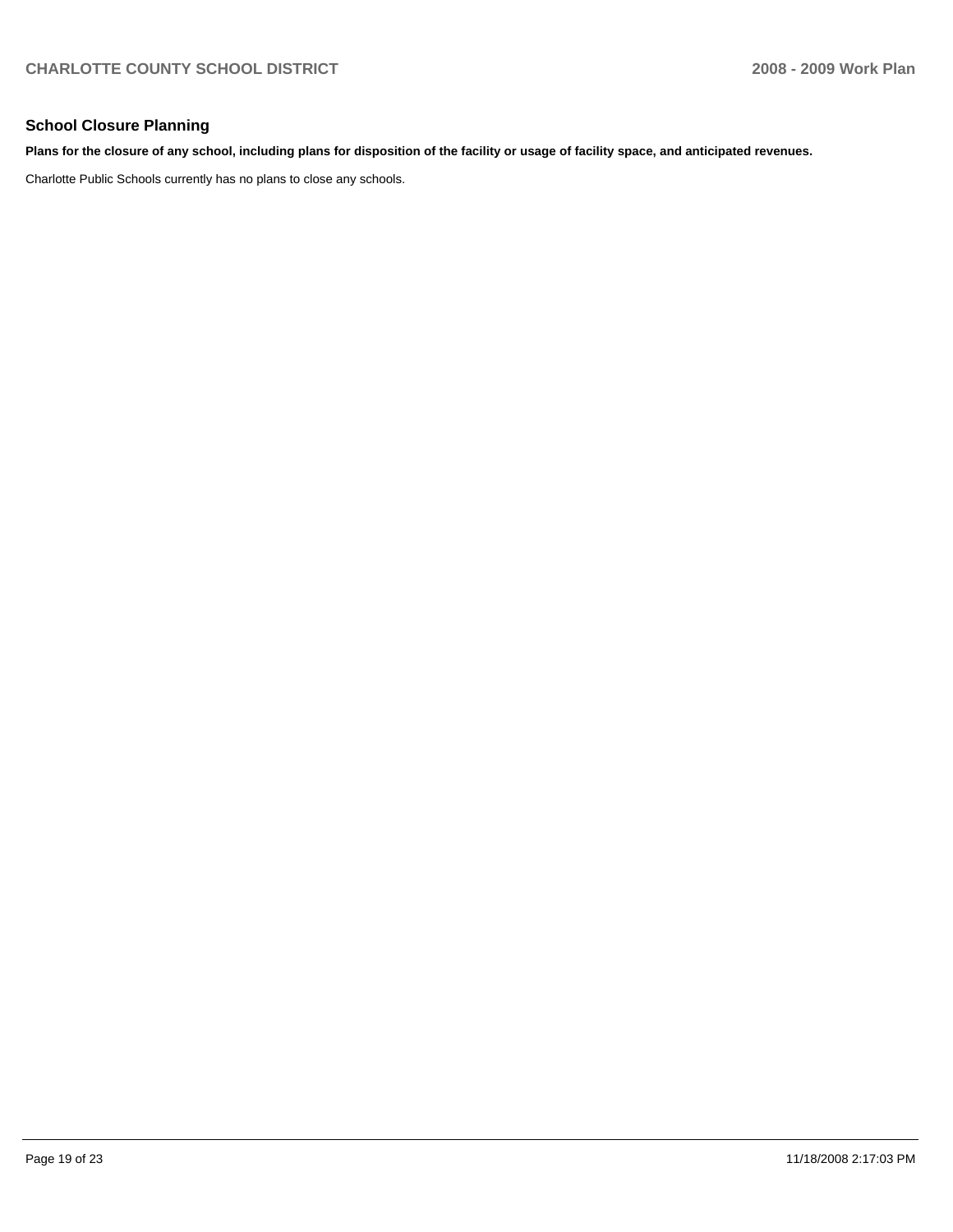# **School Closure Planning**

#### **Plans for the closure of any school, including plans for disposition of the facility or usage of facility space, and anticipated revenues.**

Charlotte Public Schools currently has no plans to close any schools.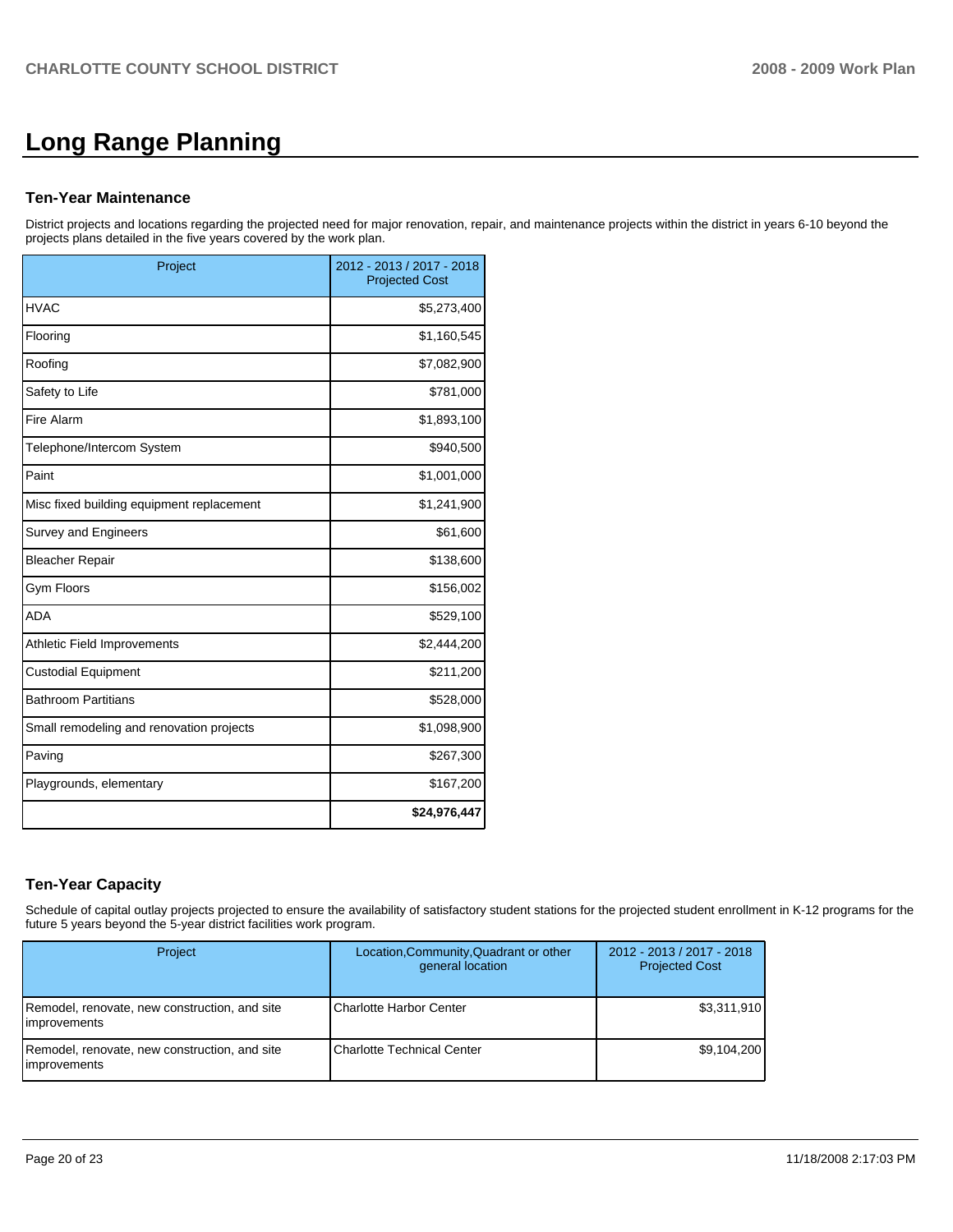# **Long Range Planning**

#### **Ten-Year Maintenance**

District projects and locations regarding the projected need for major renovation, repair, and maintenance projects within the district in years 6-10 beyond the projects plans detailed in the five years covered by the work plan.

| Project                                   | 2012 - 2013 / 2017 - 2018<br><b>Projected Cost</b> |
|-------------------------------------------|----------------------------------------------------|
| <b>HVAC</b>                               | \$5,273,400                                        |
| Flooring                                  | \$1,160,545                                        |
| Roofing                                   | \$7,082,900                                        |
| Safety to Life                            | \$781,000                                          |
| <b>Fire Alarm</b>                         | \$1,893,100                                        |
| Telephone/Intercom System                 | \$940,500                                          |
| Paint                                     | \$1,001,000                                        |
| Misc fixed building equipment replacement | \$1,241,900                                        |
| Survey and Engineers                      | \$61,600                                           |
| <b>Bleacher Repair</b>                    | \$138,600                                          |
| Gym Floors                                | \$156,002                                          |
| <b>ADA</b>                                | \$529,100                                          |
| <b>Athletic Field Improvements</b>        | \$2,444,200                                        |
| <b>Custodial Equipment</b>                | \$211,200                                          |
| <b>Bathroom Partitians</b>                | \$528,000                                          |
| Small remodeling and renovation projects  | \$1,098,900                                        |
| Paving                                    | \$267,300                                          |
| Playgrounds, elementary                   | \$167,200                                          |
|                                           | \$24,976,447                                       |

# **Ten-Year Capacity**

Schedule of capital outlay projects projected to ensure the availability of satisfactory student stations for the projected student enrollment in K-12 programs for the future 5 years beyond the 5-year district facilities work program.

| <b>Project</b>                                                          | Location, Community, Quadrant or other<br>general location | 2012 - 2013 / 2017 - 2018<br><b>Projected Cost</b> |
|-------------------------------------------------------------------------|------------------------------------------------------------|----------------------------------------------------|
| Remodel, renovate, new construction, and site<br>limprovements          | <b>Charlotte Harbor Center</b>                             | \$3,311,910                                        |
| [Remodel, renovate, new construction, and site]<br><i>limprovements</i> | Charlotte Technical Center                                 | \$9,104,200                                        |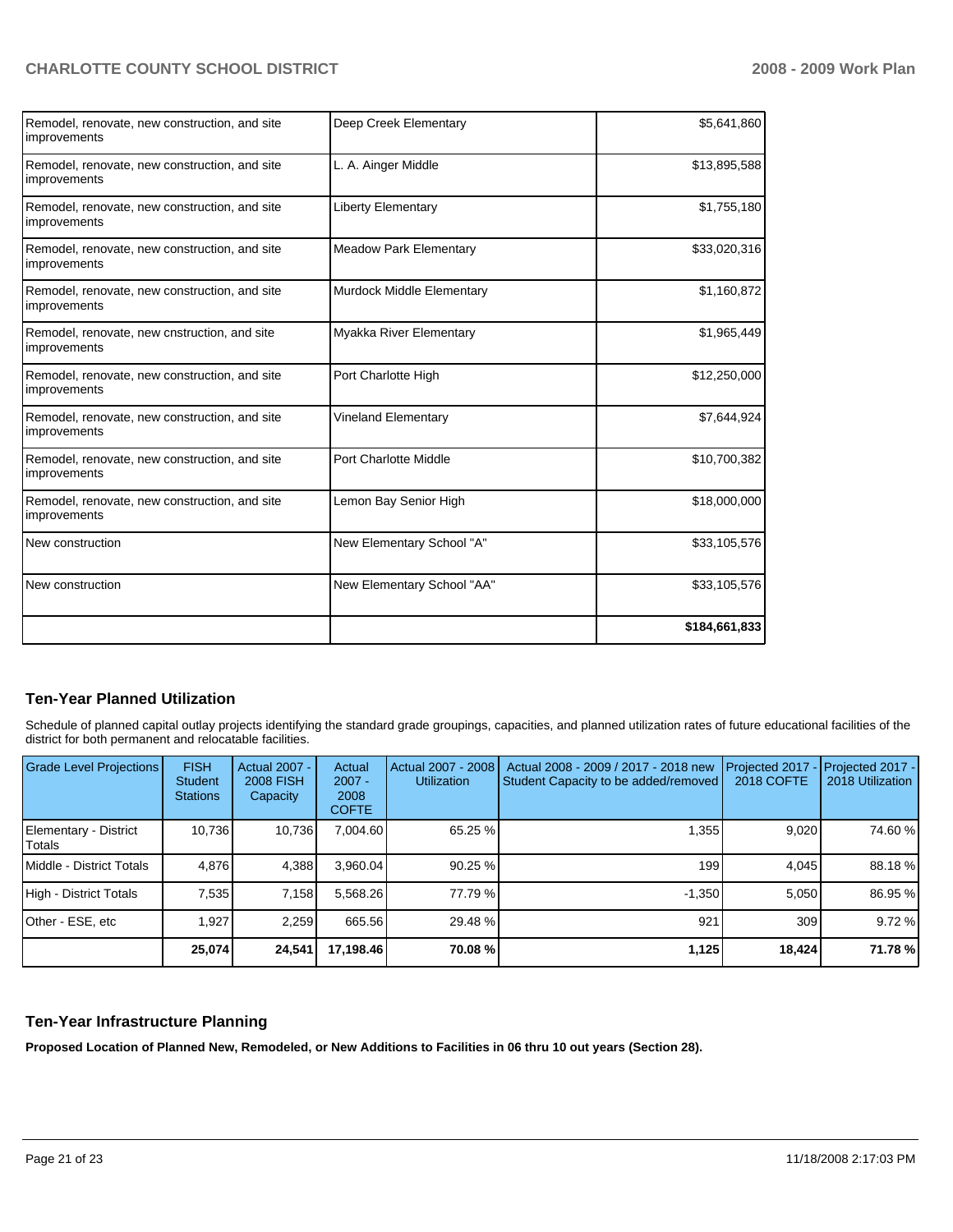| Remodel, renovate, new construction, and site<br>improvements | Deep Creek Elementary         | \$5,641,860   |
|---------------------------------------------------------------|-------------------------------|---------------|
| Remodel, renovate, new construction, and site<br>improvements | L. A. Ainger Middle           | \$13,895,588  |
| Remodel, renovate, new construction, and site<br>improvements | Liberty Elementary            | \$1,755,180   |
| Remodel, renovate, new construction, and site<br>improvements | <b>Meadow Park Elementary</b> | \$33,020,316  |
| Remodel, renovate, new construction, and site<br>improvements | Murdock Middle Elementary     | \$1,160,872   |
| Remodel, renovate, new cnstruction, and site<br>improvements  | Myakka River Elementary       | \$1,965,449   |
| Remodel, renovate, new construction, and site<br>improvements | Port Charlotte High           | \$12,250,000  |
| Remodel, renovate, new construction, and site<br>improvements | Vineland Elementary           | \$7,644,924   |
| Remodel, renovate, new construction, and site<br>improvements | <b>Port Charlotte Middle</b>  | \$10,700,382  |
| Remodel, renovate, new construction, and site<br>improvements | Lemon Bay Senior High         | \$18,000,000  |
| New construction                                              | New Elementary School "A"     | \$33,105,576  |
| New construction                                              | New Elementary School "AA"    | \$33,105,576  |
|                                                               |                               | \$184,661,833 |

# **Ten-Year Planned Utilization**

Schedule of planned capital outlay projects identifying the standard grade groupings, capacities, and planned utilization rates of future educational facilities of the district for both permanent and relocatable facilities.

| <b>Grade Level Projections</b>  | <b>FISH</b><br><b>Student</b><br><b>Stations</b> | <b>Actual 2007 -</b><br><b>2008 FISH</b><br>Capacity | Actual<br>$2007 -$<br>2008<br><b>COFTE</b> | Actual 2007 - 2008<br><b>Utilization</b> | Actual 2008 - 2009 / 2017 - 2018 new<br>Student Capacity to be added/removed | Projected 2017<br><b>2018 COFTE</b> | Projected 2017 -<br>2018 Utilization |
|---------------------------------|--------------------------------------------------|------------------------------------------------------|--------------------------------------------|------------------------------------------|------------------------------------------------------------------------------|-------------------------------------|--------------------------------------|
| Elementary - District<br>Totals | 10.736                                           | 10.736                                               | 7.004.60                                   | 65.25 %                                  | 1.355                                                                        | 9,020                               | 74.60 %                              |
| Middle - District Totals        | 4.876                                            | 4,388                                                | 3.960.04                                   | 90.25%                                   | 199                                                                          | 4.045                               | 88.18 %                              |
| High - District Totals          | 7.535                                            | 7,158                                                | 5.568.26                                   | 77.79 %                                  | $-1.350$                                                                     | 5.050                               | 86.95 %                              |
| Other - ESE, etc                | 1.927                                            | 2.259                                                | 665.56                                     | 29.48 %                                  | 921                                                                          | 309                                 | 9.72%                                |
|                                 | 25,074                                           | 24,541                                               | 17,198.46                                  | 70.08 %                                  | 1,125                                                                        | 18,424                              | 71.78 %                              |

# **Ten-Year Infrastructure Planning**

**Proposed Location of Planned New, Remodeled, or New Additions to Facilities in 06 thru 10 out years (Section 28).**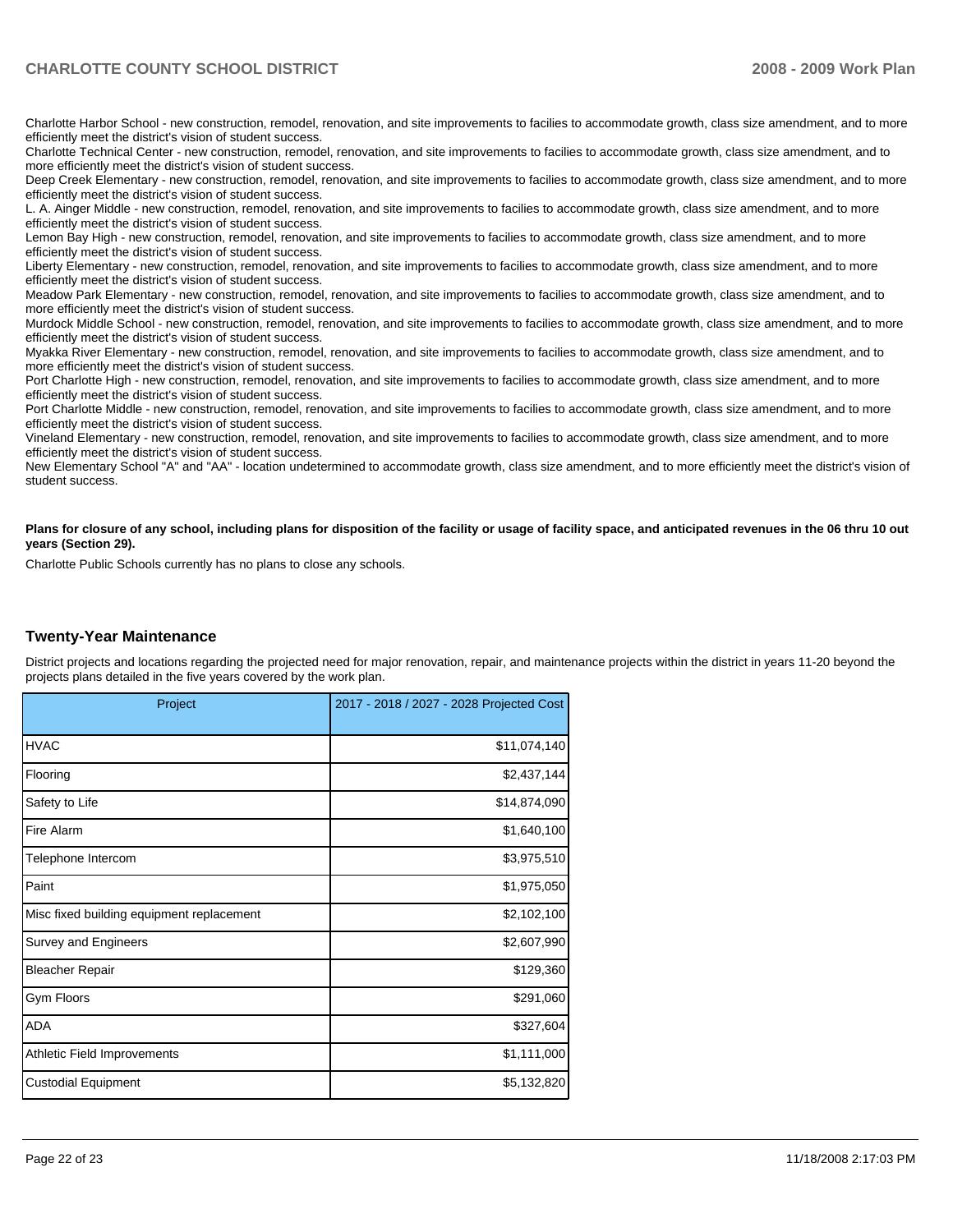Charlotte Harbor School - new construction, remodel, renovation, and site improvements to facilies to accommodate growth, class size amendment, and to more efficiently meet the district's vision of student success.

Charlotte Technical Center - new construction, remodel, renovation, and site improvements to facilies to accommodate growth, class size amendment, and to more efficiently meet the district's vision of student success.

Deep Creek Elementary - new construction, remodel, renovation, and site improvements to facilies to accommodate growth, class size amendment, and to more efficiently meet the district's vision of student success.

L. A. Ainger Middle - new construction, remodel, renovation, and site improvements to facilies to accommodate growth, class size amendment, and to more efficiently meet the district's vision of student success.

Lemon Bay High - new construction, remodel, renovation, and site improvements to facilies to accommodate growth, class size amendment, and to more efficiently meet the district's vision of student success.

Liberty Elementary - new construction, remodel, renovation, and site improvements to facilies to accommodate growth, class size amendment, and to more efficiently meet the district's vision of student success.

Meadow Park Elementary - new construction, remodel, renovation, and site improvements to facilies to accommodate growth, class size amendment, and to more efficiently meet the district's vision of student success.

Murdock Middle School - new construction, remodel, renovation, and site improvements to facilies to accommodate growth, class size amendment, and to more efficiently meet the district's vision of student success.

Myakka River Elementary - new construction, remodel, renovation, and site improvements to facilies to accommodate growth, class size amendment, and to more efficiently meet the district's vision of student success.

Port Charlotte High - new construction, remodel, renovation, and site improvements to facilies to accommodate growth, class size amendment, and to more efficiently meet the district's vision of student success.

Port Charlotte Middle - new construction, remodel, renovation, and site improvements to facilies to accommodate growth, class size amendment, and to more efficiently meet the district's vision of student success.

Vineland Elementary - new construction, remodel, renovation, and site improvements to facilies to accommodate growth, class size amendment, and to more efficiently meet the district's vision of student success.

New Elementary School "A" and "AA" - location undetermined to accommodate growth, class size amendment, and to more efficiently meet the district's vision of student success.

Plans for closure of any school, including plans for disposition of the facility or usage of facility space, and anticipated revenues in the 06 thru 10 out **years (Section 29).** 

Charlotte Public Schools currently has no plans to close any schools.

#### **Twenty-Year Maintenance**

District projects and locations regarding the projected need for major renovation, repair, and maintenance projects within the district in years 11-20 beyond the projects plans detailed in the five years covered by the work plan.

| Project                                   | 2017 - 2018 / 2027 - 2028 Projected Cost |
|-------------------------------------------|------------------------------------------|
| <b>HVAC</b>                               | \$11,074,140                             |
| Flooring                                  | \$2,437,144                              |
| Safety to Life                            | \$14,874,090                             |
| Fire Alarm                                | \$1,640,100                              |
| Telephone Intercom                        | \$3,975,510                              |
| Paint                                     | \$1,975,050                              |
| Misc fixed building equipment replacement | \$2,102,100                              |
| Survey and Engineers                      | \$2,607,990                              |
| <b>Bleacher Repair</b>                    | \$129,360                                |
| Gym Floors                                | \$291,060                                |
| <b>ADA</b>                                | \$327,604                                |
| Athletic Field Improvements               | \$1,111,000                              |
| <b>Custodial Equipment</b>                | \$5,132,820                              |